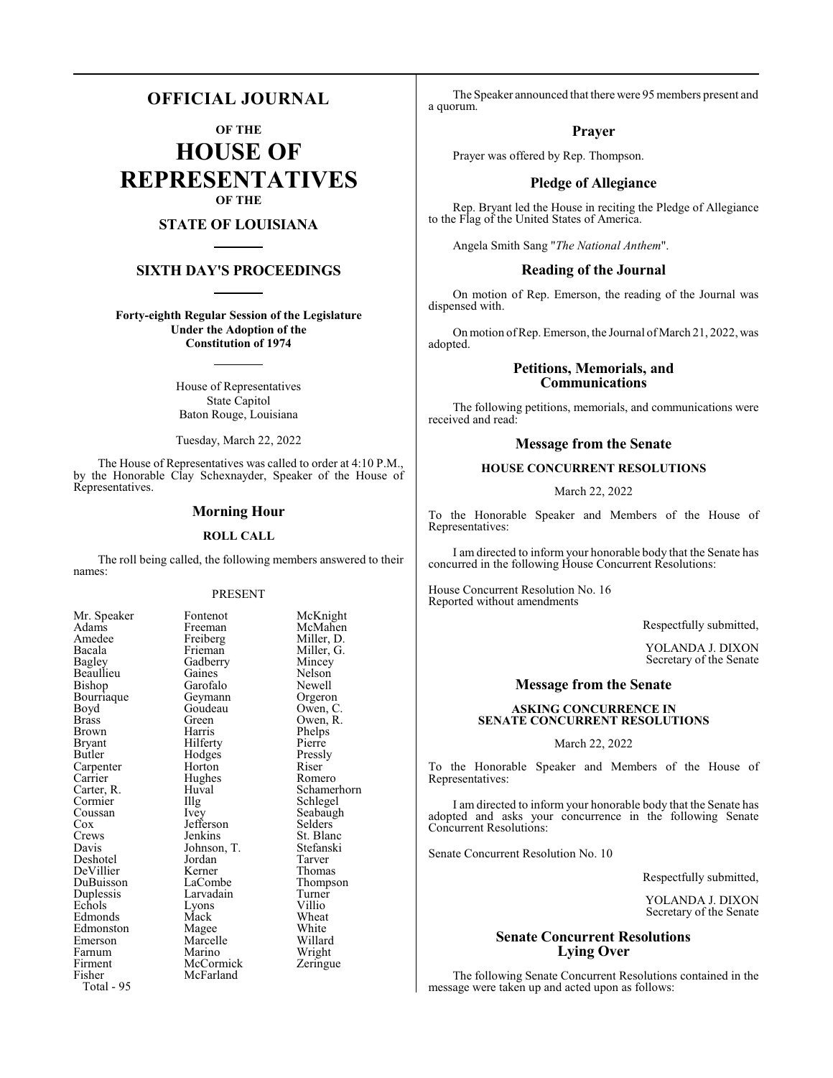# **OFFICIAL JOURNAL**

**OF THE**

**HOUSE OF REPRESENTATIVES OF THE**

# **STATE OF LOUISIANA**

# **SIXTH DAY'S PROCEEDINGS**

**Forty-eighth Regular Session of the Legislature Under the Adoption of the Constitution of 1974**

> House of Representatives State Capitol Baton Rouge, Louisiana

> Tuesday, March 22, 2022

The House of Representatives was called to order at 4:10 P.M., by the Honorable Clay Schexnayder, Speaker of the House of Representatives.

#### **Morning Hour**

#### **ROLL CALL**

The roll being called, the following members answered to their names:

#### PRESENT

Geymann<br>Goudeau

Hughes<br>Huval

Jefferson<br>Jenkins

Jordan<br>Kerner

Marcelle<br>Marino

**McCormick** McFarland

| Mr. Speaker           |
|-----------------------|
| Adams                 |
| Amedee                |
| Bacala                |
| <b>Bagley</b>         |
| Beaullieu             |
| Bishop                |
| Bourriaque            |
| Boyd                  |
| <b>Brass</b>          |
| Brown                 |
| <b>Bryant</b>         |
| Butler                |
| Carpenter             |
| Carrier               |
|                       |
| Carter, R.<br>Cormier |
| Coussan               |
| Cox<br>Cox<br>Crews   |
|                       |
| Davis                 |
| Deshotel              |
| DeVillier             |
| DuBuisson             |
| Duplessis             |
| Echols                |
| Edmonds               |
| Edmonston             |
| Emerson               |
| Farnum                |
| Firment               |
| Fisher                |
| Total - 95            |

Fontenot McKnight<br>Freeman McMahen Freeman McMahen<br>Freiberg Miller, D. Freiberg Miller, D.<br>Frieman Miller, G. Miller, G.<br>Mincey Gadberry Mincey<br>Gaines Nelson Gaines Nelson<br>Garofalo Newell Garofalo Newell<br>Geymann Orgeron Goudeau Owen, C.<br>Green Owen, R. Owen, R.<br>Phelps Harris Phelps<br>Hilferty Pierre Hilferty<br>
Hodges<br>
Pressly Hodges Pressl<br>
Horton Riser Horton Riser<br>Hughes Romero Huval Schamerhorn<br>Illg Schlegel Illg Schlegel<br>Ivev Seabaugh Seabaugh<br>Selders St. Blanc<br>Stefanski Johnson, T.<br>Jordan Tarver Kerner Thomas<br>LaCombe Thomas Thompson<br>Turner Larvadain Turner<br>Lyons Villio Echols Lyons Villio Edmonds Mack Wheat Magee White<br>
Marcelle Willard Wright<br>Zeringue

The Speaker announced that there were 95 members present and a quorum.

#### **Prayer**

Prayer was offered by Rep. Thompson.

# **Pledge of Allegiance**

Rep. Bryant led the House in reciting the Pledge of Allegiance to the Flag of the United States of America.

Angela Smith Sang "*The National Anthem*".

# **Reading of the Journal**

On motion of Rep. Emerson, the reading of the Journal was dispensed with.

On motion of Rep. Emerson, the Journal of March 21, 2022, was adopted.

# **Petitions, Memorials, and Communications**

The following petitions, memorials, and communications were received and read:

# **Message from the Senate**

# **HOUSE CONCURRENT RESOLUTIONS**

# March 22, 2022

To the Honorable Speaker and Members of the House of Representatives:

I am directed to inform your honorable body that the Senate has concurred in the following House Concurrent Resolutions:

House Concurrent Resolution No. 16 Reported without amendments

Respectfully submitted,

YOLANDA J. DIXON Secretary of the Senate

# **Message from the Senate**

#### **ASKING CONCURRENCE IN SENATE CONCURRENT RESOLUTIONS**

#### March 22, 2022

To the Honorable Speaker and Members of the House of Representatives:

I am directed to inform your honorable body that the Senate has adopted and asks your concurrence in the following Senate Concurrent Resolutions:

Senate Concurrent Resolution No. 10

Respectfully submitted,

YOLANDA J. DIXON Secretary of the Senate

# **Senate Concurrent Resolutions Lying Over**

The following Senate Concurrent Resolutions contained in the message were taken up and acted upon as follows: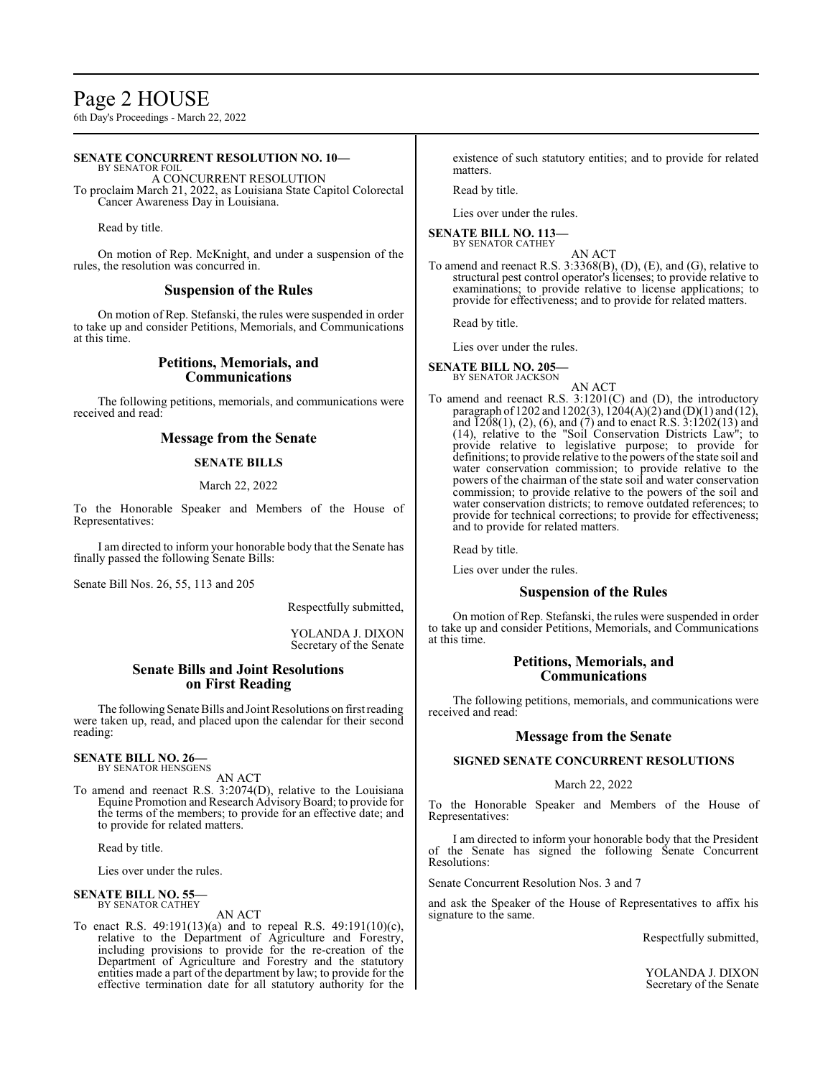# Page 2 HOUSE

6th Day's Proceedings - March 22, 2022

# **SENATE CONCURRENT RESOLUTION NO. 10—**

BY SENATOR FOIL A CONCURRENT RESOLUTION To proclaim March 21, 2022, as Louisiana State Capitol Colorectal Cancer Awareness Day in Louisiana.

Read by title.

On motion of Rep. McKnight, and under a suspension of the rules, the resolution was concurred in.

### **Suspension of the Rules**

On motion of Rep. Stefanski, the rules were suspended in order to take up and consider Petitions, Memorials, and Communications at this time.

# **Petitions, Memorials, and Communications**

The following petitions, memorials, and communications were received and read:

# **Message from the Senate**

#### **SENATE BILLS**

#### March 22, 2022

To the Honorable Speaker and Members of the House of Representatives:

I am directed to inform your honorable body that the Senate has finally passed the following Senate Bills:

Senate Bill Nos. 26, 55, 113 and 205

Respectfully submitted,

YOLANDA J. DIXON Secretary of the Senate

# **Senate Bills and Joint Resolutions on First Reading**

The following Senate Bills and Joint Resolutions on first reading were taken up, read, and placed upon the calendar for their second reading:

#### **SENATE BILL NO. 26—** BY SENATOR HENSGENS

AN ACT

To amend and reenact R.S. 3:2074(D), relative to the Louisiana Equine Promotion and Research AdvisoryBoard; to provide for the terms of the members; to provide for an effective date; and to provide for related matters.

Read by title.

Lies over under the rules.

#### **SENATE BILL NO. 55** BY SENATOR CATHEY

AN ACT

To enact R.S. 49:191(13)(a) and to repeal R.S. 49:191(10)(c), relative to the Department of Agriculture and Forestry, including provisions to provide for the re-creation of the Department of Agriculture and Forestry and the statutory entities made a part of the department by law; to provide for the effective termination date for all statutory authority for the existence of such statutory entities; and to provide for related matters.

Read by title.

Lies over under the rules.

#### **SENATE BILL NO. 113—** BY SENATOR CATHEY

AN ACT To amend and reenact R.S. 3:3368(B), (D), (E), and (G), relative to structural pest control operator's licenses; to provide relative to examinations; to provide relative to license applications; to provide for effectiveness; and to provide for related matters.

Read by title.

Lies over under the rules.

**SENATE BILL NO. 205—** BY SENATOR JACKSON

AN ACT To amend and reenact R.S. 3:1201(C) and (D), the introductory paragraph of 1202 and 1202(3), 1204(A)(2) and (D)(1) and (12), and  $1208(1)$ ,  $(2)$ ,  $(6)$ , and  $(7)$  and to enact R.S.  $3:1202(13)$  and (14), relative to the "Soil Conservation Districts Law"; to provide relative to legislative purpose; to provide for definitions; to provide relative to the powers of the state soil and water conservation commission; to provide relative to the powers of the chairman of the state soil and water conservation commission; to provide relative to the powers of the soil and water conservation districts; to remove outdated references; to provide for technical corrections; to provide for effectiveness; and to provide for related matters.

Read by title.

Lies over under the rules.

# **Suspension of the Rules**

On motion of Rep. Stefanski, the rules were suspended in order to take up and consider Petitions, Memorials, and Communications at this time.

# **Petitions, Memorials, and Communications**

The following petitions, memorials, and communications were received and read:

# **Message from the Senate**

# **SIGNED SENATE CONCURRENT RESOLUTIONS**

#### March 22, 2022

To the Honorable Speaker and Members of the House of Representatives:

I am directed to inform your honorable body that the President of the Senate has signed the following Senate Concurrent Resolutions:

Senate Concurrent Resolution Nos. 3 and 7

and ask the Speaker of the House of Representatives to affix his signature to the same.

Respectfully submitted,

YOLANDA J. DIXON Secretary of the Senate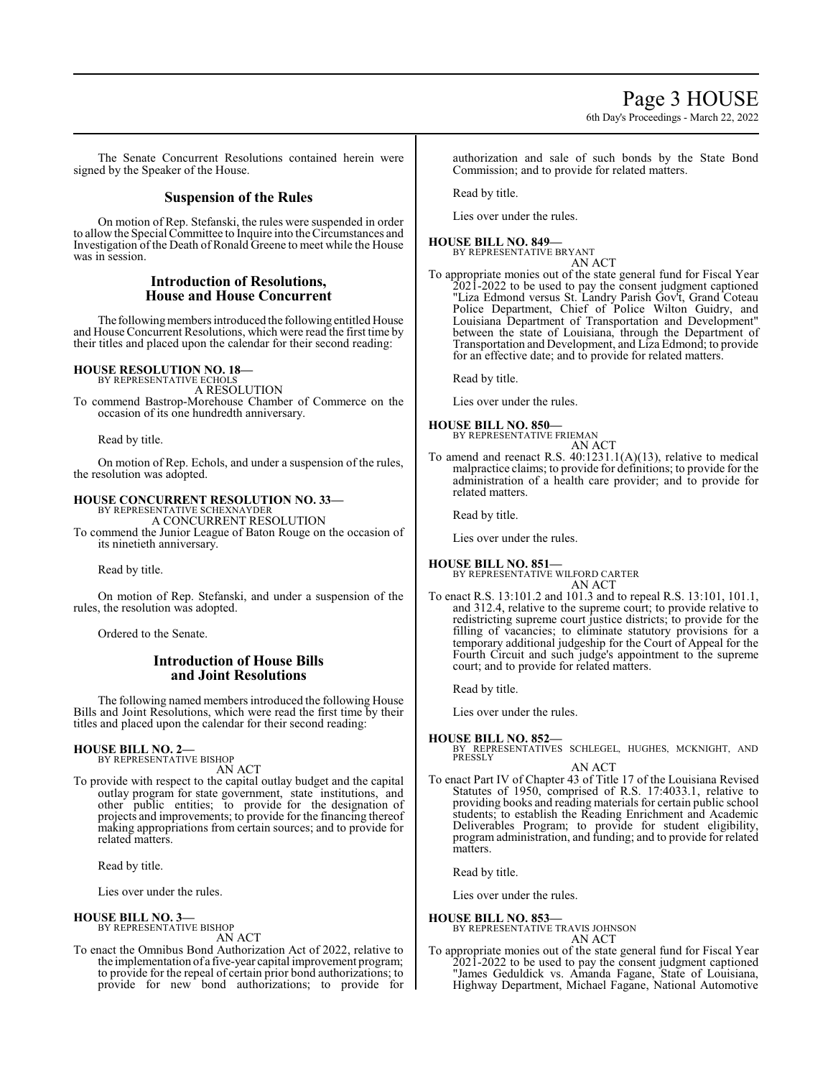6th Day's Proceedings - March 22, 2022

The Senate Concurrent Resolutions contained herein were signed by the Speaker of the House.

# **Suspension of the Rules**

On motion of Rep. Stefanski, the rules were suspended in order to allow the Special Committee to Inquire into theCircumstances and Investigation of the Death of Ronald Greene to meet while the House was in session.

# **Introduction of Resolutions, House and House Concurrent**

The following members introduced the following entitled House and House Concurrent Resolutions, which were read the first time by their titles and placed upon the calendar for their second reading:

# **HOUSE RESOLUTION NO. 18—**

BY REPRESENTATIVE ECHOLS A RESOLUTION To commend Bastrop-Morehouse Chamber of Commerce on the occasion of its one hundredth anniversary.

Read by title.

On motion of Rep. Echols, and under a suspension of the rules, the resolution was adopted.

# **HOUSE CONCURRENT RESOLUTION NO. 33—** BY REPRESENTATIVE SCHEXNAYDER

A CONCURRENT RESOLUTION To commend the Junior League of Baton Rouge on the occasion of its ninetieth anniversary.

Read by title.

On motion of Rep. Stefanski, and under a suspension of the rules, the resolution was adopted.

Ordered to the Senate.

# **Introduction of House Bills and Joint Resolutions**

The following named members introduced the following House Bills and Joint Resolutions, which were read the first time by their titles and placed upon the calendar for their second reading:

# **HOUSE BILL NO. 2—** BY REPRESENTATIVE BISHOP

AN ACT

To provide with respect to the capital outlay budget and the capital outlay program for state government, state institutions, and other public entities; to provide for the designation of projects and improvements; to provide for the financing thereof making appropriations from certain sources; and to provide for related matters.

Read by title.

Lies over under the rules.

**HOUSE BILL NO. 3—** BY REPRESENTATIVE BISHOP

AN ACT

To enact the Omnibus Bond Authorization Act of 2022, relative to the implementation of a five-year capital improvement program; to provide for the repeal of certain prior bond authorizations; to provide for new bond authorizations; to provide for

authorization and sale of such bonds by the State Bond Commission; and to provide for related matters.

Read by title.

Lies over under the rules.

**HOUSE BILL NO. 849—** BY REPRESENTATIVE BRYANT AN ACT

To appropriate monies out of the state general fund for Fiscal Year 2021-2022 to be used to pay the consent judgment captioned "Liza Edmond versus St. Landry Parish Gov't, Grand Coteau Police Department, Chief of Police Wilton Guidry, and Louisiana Department of Transportation and Development" between the state of Louisiana, through the Department of Transportation and Development, and Liza Edmond; to provide for an effective date; and to provide for related matters.

Read by title.

Lies over under the rules.

- **HOUSE BILL NO. 850—** BY REPRESENTATIVE FRIEMAN
- AN ACT To amend and reenact R.S. 40:1231.1(A)(13), relative to medical malpractice claims; to provide for definitions; to provide for the administration of a health care provider; and to provide for related matters.

Read by title.

Lies over under the rules.

# **HOUSE BILL NO. 851—**

BY REPRESENTATIVE WILFORD CARTER AN ACT

To enact R.S. 13:101.2 and 101.3 and to repeal R.S. 13:101, 101.1, and 312.4, relative to the supreme court; to provide relative to redistricting supreme court justice districts; to provide for the filling of vacancies; to eliminate statutory provisions for a temporary additional judgeship for the Court of Appeal for the Fourth Circuit and such judge's appointment to the supreme court; and to provide for related matters.

Read by title.

Lies over under the rules.

# **HOUSE BILL NO. 852—**

BY REPRESENTATIVES SCHLEGEL, HUGHES, MCKNIGHT, AND PRESSLY

AN ACT

To enact Part IV of Chapter 43 of Title 17 of the Louisiana Revised Statutes of 1950, comprised of R.S. 17:4033.1, relative to providing books and reading materials for certain public school students; to establish the Reading Enrichment and Academic Deliverables Program; to provide for student eligibility, program administration, and funding; and to provide for related matters.

Read by title.

Lies over under the rules.

**HOUSE BILL NO. 853—** BY REPRESENTATIVE TRAVIS JOHNSON AN ACT

To appropriate monies out of the state general fund for Fiscal Year 2021-2022 to be used to pay the consent judgment captioned "James Geduldick vs. Amanda Fagane, State of Louisiana, Highway Department, Michael Fagane, National Automotive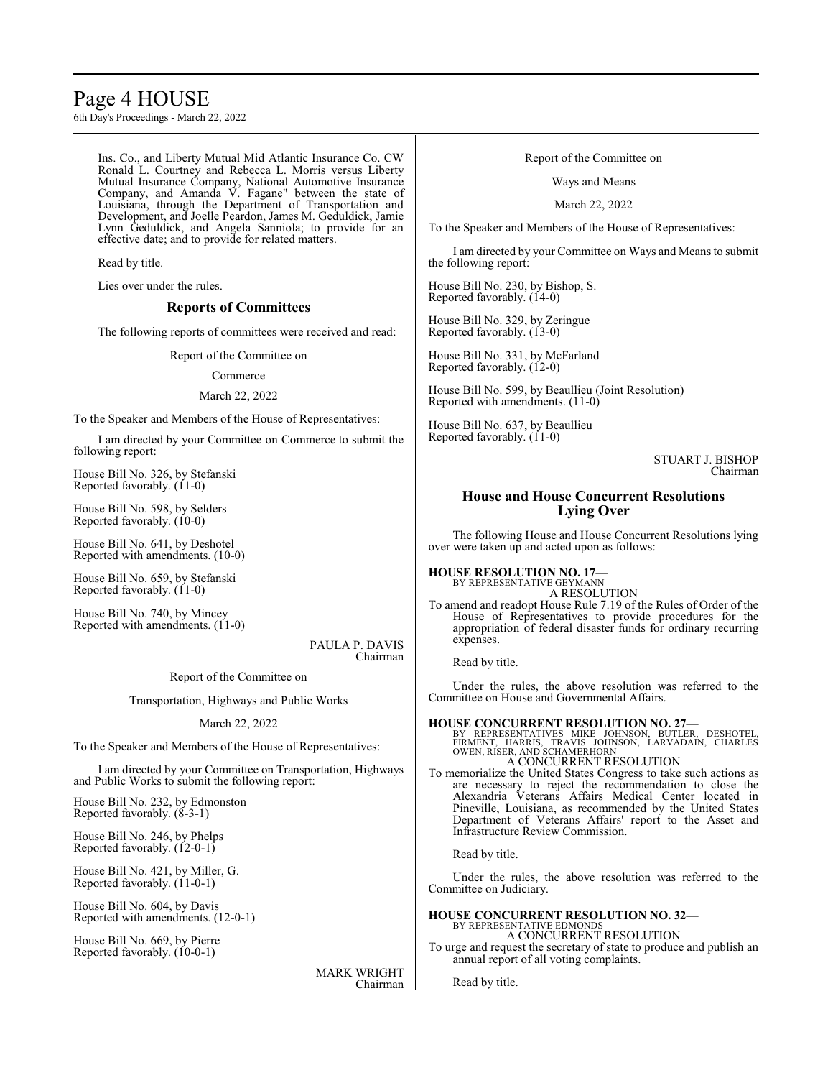# Page 4 HOUSE

6th Day's Proceedings - March 22, 2022

Ins. Co., and Liberty Mutual Mid Atlantic Insurance Co. CW Ronald L. Courtney and Rebecca L. Morris versus Liberty Mutual Insurance Company, National Automotive Insurance Company, and Amanda V. Fagane" between the state of Louisiana, through the Department of Transportation and Development, and Joelle Peardon, James M. Geduldick, Jamie Lynn Geduldick, and Angela Sanniola; to provide for an effective date; and to provide for related matters.

Read by title.

Lies over under the rules.

# **Reports of Committees**

The following reports of committees were received and read:

Report of the Committee on

#### Commerce

### March 22, 2022

To the Speaker and Members of the House of Representatives:

I am directed by your Committee on Commerce to submit the following report:

House Bill No. 326, by Stefanski Reported favorably. (11-0)

House Bill No. 598, by Selders Reported favorably. (10-0)

House Bill No. 641, by Deshotel Reported with amendments. (10-0)

House Bill No. 659, by Stefanski Reported favorably. (11-0)

House Bill No. 740, by Mincey Reported with amendments. (11-0)

> PAULA P. DAVIS Chairman

Report of the Committee on

Transportation, Highways and Public Works

#### March 22, 2022

To the Speaker and Members of the House of Representatives:

I am directed by your Committee on Transportation, Highways and Public Works to submit the following report:

House Bill No. 232, by Edmonston Reported favorably. (8-3-1)

House Bill No. 246, by Phelps Reported favorably. (12-0-1)

House Bill No. 421, by Miller, G. Reported favorably. (11-0-1)

House Bill No. 604, by Davis Reported with amendments. (12-0-1)

House Bill No. 669, by Pierre Reported favorably. (10-0-1)

> MARK WRIGHT Chairman

#### Report of the Committee on

Ways and Means

March 22, 2022

To the Speaker and Members of the House of Representatives:

I am directed by your Committee on Ways and Means to submit the following report:

House Bill No. 230, by Bishop, S. Reported favorably. (14-0)

House Bill No. 329, by Zeringue Reported favorably. (13-0)

House Bill No. 331, by McFarland Reported favorably. (12-0)

House Bill No. 599, by Beaullieu (Joint Resolution) Reported with amendments. (11-0)

House Bill No. 637, by Beaullieu Reported favorably. (11-0)

> STUART J. BISHOP Chairman

# **House and House Concurrent Resolutions Lying Over**

The following House and House Concurrent Resolutions lying over were taken up and acted upon as follows:

#### **HOUSE RESOLUTION NO. 17—** BY REPRESENTATIVE GEYMANN

A RESOLUTION

To amend and readopt House Rule 7.19 of the Rules of Order of the House of Representatives to provide procedures for the appropriation of federal disaster funds for ordinary recurring expenses.

Read by title.

Under the rules, the above resolution was referred to the Committee on House and Governmental Affairs.

**HOUSE CONCURRENT RESOLUTION NO. 27—**<br>
BY REPRESENTATIVES MIKE JOHNSON, BUTLER, DESHOTEL,<br>
FIRMENT, HARRIS, TRAVIS JOHNSON, LARVADAIN, CHARLES<br>
OWEN, RISER, AND SCHAMERHORN A CONCURRENT RESOLUTION

To memorialize the United States Congress to take such actions as are necessary to reject the recommendation to close the Alexandria Veterans Affairs Medical Center located in Pineville, Louisiana, as recommended by the United States Department of Veterans Affairs' report to the Asset and Infrastructure Review Commission.

Read by title.

Under the rules, the above resolution was referred to the Committee on Judiciary.

#### **HOUSE CONCURRENT RESOLUTION NO. 32—** BY REPRESENTATIVE EDMONDS A CONCURRENT RESOLUTION

To urge and request the secretary of state to produce and publish an annual report of all voting complaints.

Read by title.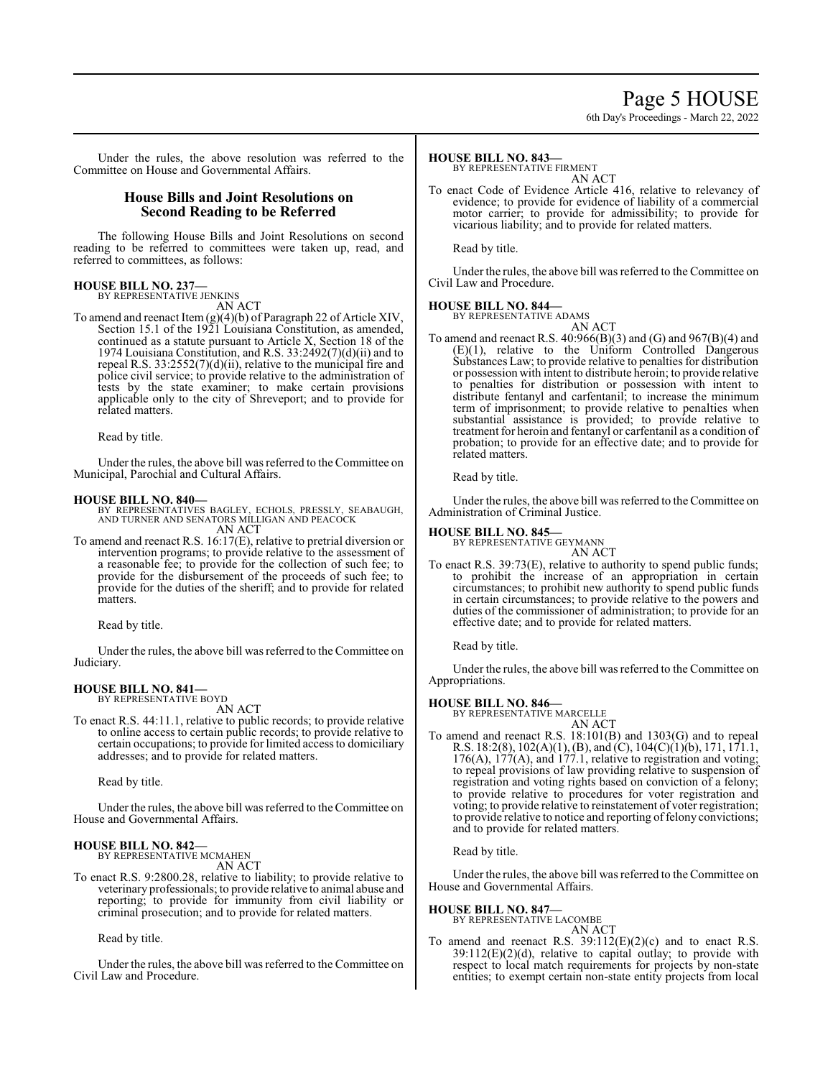# Page 5 HOUSE

6th Day's Proceedings - March 22, 2022

Under the rules, the above resolution was referred to the Committee on House and Governmental Affairs.

# **House Bills and Joint Resolutions on Second Reading to be Referred**

The following House Bills and Joint Resolutions on second reading to be referred to committees were taken up, read, and referred to committees, as follows:

# **HOUSE BILL NO. 237—** BY REPRESENTATIVE JENKINS

AN ACT

To amend and reenact Item (g)(4)(b) of Paragraph 22 of Article XIV, Section 15.1 of the 1921 Louisiana Constitution, as amended, continued as a statute pursuant to Article X, Section 18 of the 1974 Louisiana Constitution, and R.S. 33:2492(7)(d)(ii) and to repeal R.S. 33:2552(7)(d)(ii), relative to the municipal fire and police civil service; to provide relative to the administration of tests by the state examiner; to make certain provisions applicable only to the city of Shreveport; and to provide for related matters.

Read by title.

Under the rules, the above bill was referred to the Committee on Municipal, Parochial and Cultural Affairs.

**HOUSE BILL NO. 840—** BY REPRESENTATIVES BAGLEY, ECHOLS, PRESSLY, SEABAUGH, AND TURNER AND SENATORS MILLIGAN AND PEACOCK AN ACT

To amend and reenact R.S. 16:17(E), relative to pretrial diversion or intervention programs; to provide relative to the assessment of a reasonable fee; to provide for the collection of such fee; to provide for the disbursement of the proceeds of such fee; to provide for the duties of the sheriff; and to provide for related matters.

Read by title.

Under the rules, the above bill was referred to theCommittee on Judiciary.

#### **HOUSE BILL NO. 841—** BY REPRESENTATIVE BOYD

AN ACT

To enact R.S. 44:11.1, relative to public records; to provide relative to online access to certain public records; to provide relative to certain occupations; to provide for limited access to domiciliary addresses; and to provide for related matters.

Read by title.

Under the rules, the above bill was referred to the Committee on House and Governmental Affairs.

#### **HOUSE BILL NO. 842—** BY REPRESENTATIVE MCMAHEN

AN ACT

To enact R.S. 9:2800.28, relative to liability; to provide relative to veterinary professionals; to provide relative to animal abuse and reporting; to provide for immunity from civil liability or criminal prosecution; and to provide for related matters.

Read by title.

Under the rules, the above bill was referred to the Committee on Civil Law and Procedure.

#### **HOUSE BILL NO. 843—**

BY REPRESENTATIVE FIRMENT

- AN ACT
- To enact Code of Evidence Article 416, relative to relevancy of evidence; to provide for evidence of liability of a commercial motor carrier; to provide for admissibility; to provide for vicarious liability; and to provide for related matters.

Read by title.

Under the rules, the above bill was referred to the Committee on Civil Law and Procedure.

# **HOUSE BILL NO. 844—**

BY REPRESENTATIVE ADAMS AN ACT

To amend and reenact R.S. 40:966(B)(3) and (G) and 967(B)(4) and  $(E)(1)$ , relative to the Uniform Controlled Dangerous Substances Law; to provide relative to penalties for distribution or possession with intent to distribute heroin; to provide relative to penalties for distribution or possession with intent to distribute fentanyl and carfentanil; to increase the minimum term of imprisonment; to provide relative to penalties when substantial assistance is provided; to provide relative to treatment for heroin and fentanyl or carfentanil as a condition of probation; to provide for an effective date; and to provide for related matters.

Read by title.

Under the rules, the above bill was referred to the Committee on Administration of Criminal Justice.

# **HOUSE BILL NO. 845—**

BY REPRESENTATIVE GEYMANN AN ACT

To enact R.S. 39:73(E), relative to authority to spend public funds; to prohibit the increase of an appropriation in certain circumstances; to prohibit new authority to spend public funds in certain circumstances; to provide relative to the powers and duties of the commissioner of administration; to provide for an effective date; and to provide for related matters.

Read by title.

Under the rules, the above bill was referred to the Committee on Appropriations.

**HOUSE BILL NO. 846—** BY REPRESENTATIVE MARCELLE

- AN ACT
- To amend and reenact R.S. 18:101(B) and 1303(G) and to repeal R.S. 18:2(8), 102(A)(1), (B), and (C), 104(C)(1)(b), 171, 171.1, 176(A), 177(A), and 177.1, relative to registration and voting; to repeal provisions of law providing relative to suspension of registration and voting rights based on conviction of a felony; to provide relative to procedures for voter registration and voting; to provide relative to reinstatement of voter registration; to provide relative to notice and reporting of felony convictions; and to provide for related matters.

Read by title.

Under the rules, the above bill was referred to the Committee on House and Governmental Affairs.

#### **HOUSE BILL NO. 847—**

BY REPRESENTATIVE LACOMBE AN ACT

To amend and reenact R.S. 39:112(E)(2)(c) and to enact R.S.  $39:112(E)(2)(d)$ , relative to capital outlay; to provide with respect to local match requirements for projects by non-state entities; to exempt certain non-state entity projects from local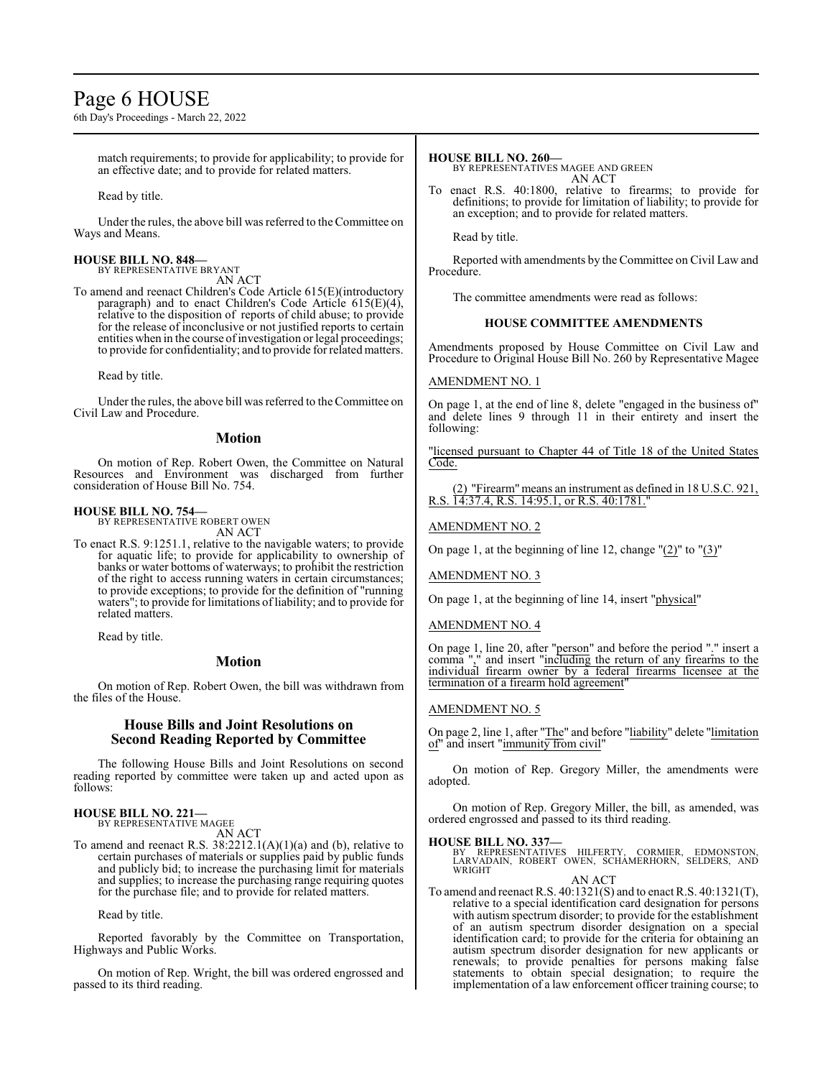# Page 6 HOUSE

6th Day's Proceedings - March 22, 2022

match requirements; to provide for applicability; to provide for an effective date; and to provide for related matters.

Read by title.

Under the rules, the above bill was referred to the Committee on Ways and Means.

#### **HOUSE BILL NO. 848—** BY REPRESENTATIVE BRYANT

AN ACT

To amend and reenact Children's Code Article 615(E)(introductory paragraph) and to enact Children's Code Article 615(E)(4), relative to the disposition of reports of child abuse; to provide for the release of inconclusive or not justified reports to certain entities when in the course of investigation or legal proceedings; to provide for confidentiality; and to provide for related matters.

Read by title.

Under the rules, the above bill was referred to theCommittee on Civil Law and Procedure.

#### **Motion**

On motion of Rep. Robert Owen, the Committee on Natural Resources and Environment was discharged from further consideration of House Bill No. 754.

#### **HOUSE BILL NO. 754—**

BY REPRESENTATIVE ROBERT OWEN AN ACT

To enact R.S. 9:1251.1, relative to the navigable waters; to provide for aquatic life; to provide for applicability to ownership of banks or water bottoms of waterways; to prohibit the restriction of the right to access running waters in certain circumstances; to provide exceptions; to provide for the definition of "running waters"; to provide for limitations ofliability; and to provide for related matters.

Read by title.

#### **Motion**

On motion of Rep. Robert Owen, the bill was withdrawn from the files of the House.

### **House Bills and Joint Resolutions on Second Reading Reported by Committee**

The following House Bills and Joint Resolutions on second reading reported by committee were taken up and acted upon as follows:

# **HOUSE BILL NO. 221—** BY REPRESENTATIVE MAGEE

AN ACT

To amend and reenact R.S.  $38:2212.1(A)(1)(a)$  and (b), relative to certain purchases of materials or supplies paid by public funds and publicly bid; to increase the purchasing limit for materials and supplies; to increase the purchasing range requiring quotes for the purchase file; and to provide for related matters.

Read by title.

Reported favorably by the Committee on Transportation, Highways and Public Works.

On motion of Rep. Wright, the bill was ordered engrossed and passed to its third reading.

### **HOUSE BILL NO. 260—**

BY REPRESENTATIVES MAGEE AND GREEN AN ACT

To enact R.S. 40:1800, relative to firearms; to provide for definitions; to provide for limitation of liability; to provide for an exception; and to provide for related matters.

Read by title.

Reported with amendments by the Committee on Civil Law and Procedure.

The committee amendments were read as follows:

#### **HOUSE COMMITTEE AMENDMENTS**

Amendments proposed by House Committee on Civil Law and Procedure to Original House Bill No. 260 by Representative Magee

#### AMENDMENT NO. 1

On page 1, at the end of line 8, delete "engaged in the business of" and delete lines 9 through 11 in their entirety and insert the following:

"licensed pursuant to Chapter 44 of Title 18 of the United States Code.

(2) "Firearm" means an instrument as defined in 18 U.S.C. 921, R.S. 14:37.4, R.S. 14:95.1, or R.S. 40:1781.

#### AMENDMENT NO. 2

On page 1, at the beginning of line 12, change  $(2)$ " to  $(3)$ "

AMENDMENT NO. 3

On page 1, at the beginning of line 14, insert "physical"

#### AMENDMENT NO. 4

On page 1, line 20, after "person" and before the period "." insert a comma "," and insert "including the return of any firearms to the individual firearm owner by a federal firearms licensee at the termination of a firearm hold agreement

# AMENDMENT NO. 5

On page 2, line 1, after "The" and before "liability" delete "limitation of" and insert "immunity from civil"

On motion of Rep. Gregory Miller, the amendments were adopted.

On motion of Rep. Gregory Miller, the bill, as amended, was ordered engrossed and passed to its third reading.

**HOUSE BILL NO. 337—** BY REPRESENTATIVES HILFERTY, CORMIER, EDMONSTON, LARVADAIN, ROBERT OWEN, SCHAMERHORN, SELDERS, AND WRIGHT

AN ACT

To amend and reenact R.S. 40:1321(S) and to enact R.S. 40:1321(T), relative to a special identification card designation for persons with autism spectrum disorder; to provide for the establishment of an autism spectrum disorder designation on a special identification card; to provide for the criteria for obtaining an autism spectrum disorder designation for new applicants or renewals; to provide penalties for persons making false statements to obtain special designation; to require the implementation of a law enforcement officer training course; to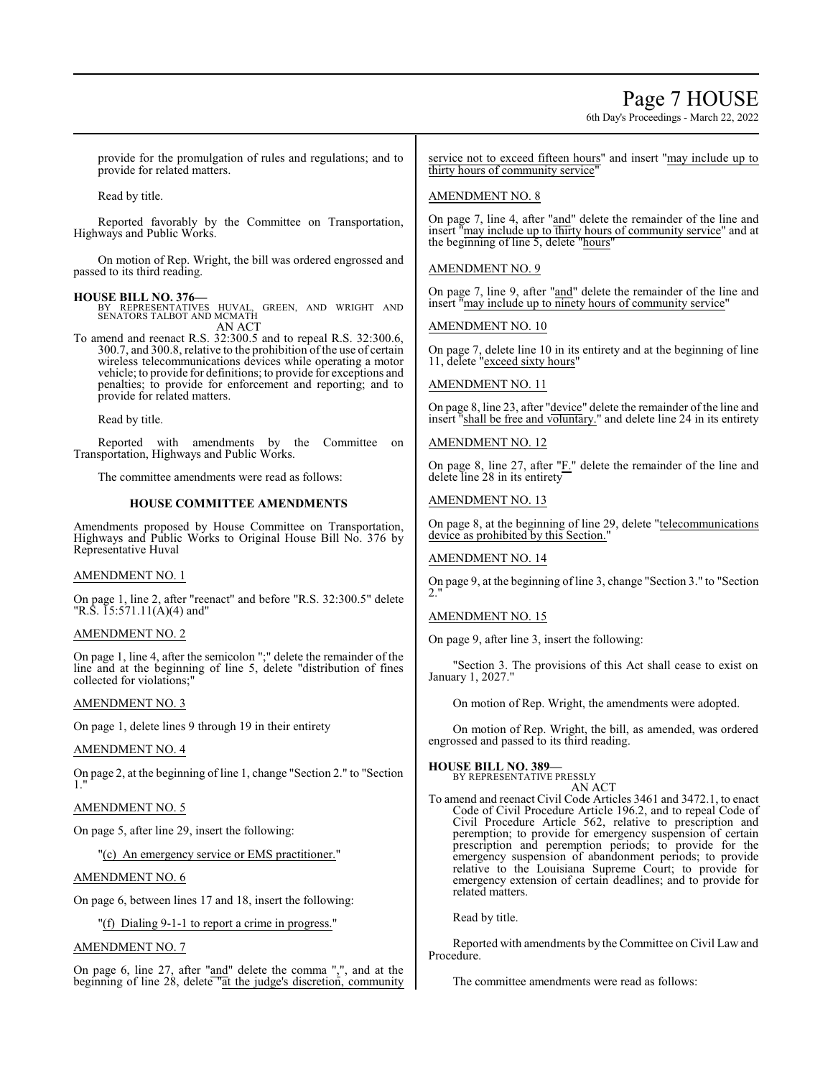# Page 7 HOUSE

6th Day's Proceedings - March 22, 2022

provide for the promulgation of rules and regulations; and to provide for related matters.

Read by title.

Reported favorably by the Committee on Transportation, Highways and Public Works.

On motion of Rep. Wright, the bill was ordered engrossed and passed to its third reading.

**HOUSE BILL NO. 376—** BY REPRESENTATIVES HUVAL, GREEN, AND WRIGHT AND SENATORS TALBOT AND MCMATH AN ACT

To amend and reenact R.S. 32:300.5 and to repeal R.S. 32:300.6, 300.7, and 300.8, relative to the prohibition of the use of certain wireless telecommunications devices while operating a motor vehicle; to provide for definitions; to provide for exceptions and penalties; to provide for enforcement and reporting; and to provide for related matters.

Read by title.

Reported with amendments by the Committee on Transportation, Highways and Public Works.

The committee amendments were read as follows:

#### **HOUSE COMMITTEE AMENDMENTS**

Amendments proposed by House Committee on Transportation, Highways and Public Works to Original House Bill No. 376 by Representative Huval

# AMENDMENT NO. 1

On page 1, line 2, after "reenact" and before "R.S. 32:300.5" delete "R.S.  $15:571.11(A)(4)$  and"

### AMENDMENT NO. 2

On page 1, line 4, after the semicolon ";" delete the remainder of the line and at the beginning of line 5, delete "distribution of fines collected for violations;"

#### AMENDMENT NO. 3

On page 1, delete lines 9 through 19 in their entirety

# AMENDMENT NO. 4

On page 2, at the beginning of line 1, change "Section 2." to "Section 1."

# AMENDMENT NO. 5

On page 5, after line 29, insert the following:

"(c) An emergency service or EMS practitioner."

#### AMENDMENT NO. 6

On page 6, between lines 17 and 18, insert the following:

"(f) Dialing 9-1-1 to report a crime in progress."

# AMENDMENT NO. 7

On page 6, line 27, after "and" delete the comma ",", and at the beginning of line 28, delete "at the judge's discretion, community

service not to exceed fifteen hours" and insert "may include up to thirty hours of community service"

# AMENDMENT NO. 8

On page 7, line 4, after "and" delete the remainder of the line and insert "may include up to thirty hours of community service" and at the beginning of line 5, delete "hours"

### AMENDMENT NO. 9

On page 7, line 9, after "and" delete the remainder of the line and insert "may include up to ninety hours of community service"

#### AMENDMENT NO. 10

On page 7, delete line 10 in its entirety and at the beginning of line 11, delete "exceed sixty hours"

AMENDMENT NO. 11

On page 8, line 23, after "device" delete the remainder of the line and insert "shall be free and voluntary." and delete line 24 in its entirety

# AMENDMENT NO. 12

On page 8, line 27, after "F." delete the remainder of the line and delete line 28 in its entirety

### AMENDMENT NO. 13

On page 8, at the beginning of line 29, delete "telecommunications device as prohibited by this Section."

# AMENDMENT NO. 14

On page 9, at the beginning of line 3, change "Section 3." to "Section 2."

# AMENDMENT NO. 15

On page 9, after line 3, insert the following:

"Section 3. The provisions of this Act shall cease to exist on January 1, 2027."

On motion of Rep. Wright, the amendments were adopted.

On motion of Rep. Wright, the bill, as amended, was ordered engrossed and passed to its third reading.

#### **HOUSE BILL NO. 389—**

BY REPRESENTATIVE PRESSLY

# AN ACT

To amend and reenact Civil Code Articles 3461 and 3472.1, to enact Code of Civil Procedure Article 196.2, and to repeal Code of Civil Procedure Article 562, relative to prescription and peremption; to provide for emergency suspension of certain prescription and peremption periods; to provide for the emergency suspension of abandonment periods; to provide relative to the Louisiana Supreme Court; to provide for emergency extension of certain deadlines; and to provide for related matters.

Read by title.

Reported with amendments by the Committee on Civil Law and Procedure.

The committee amendments were read as follows: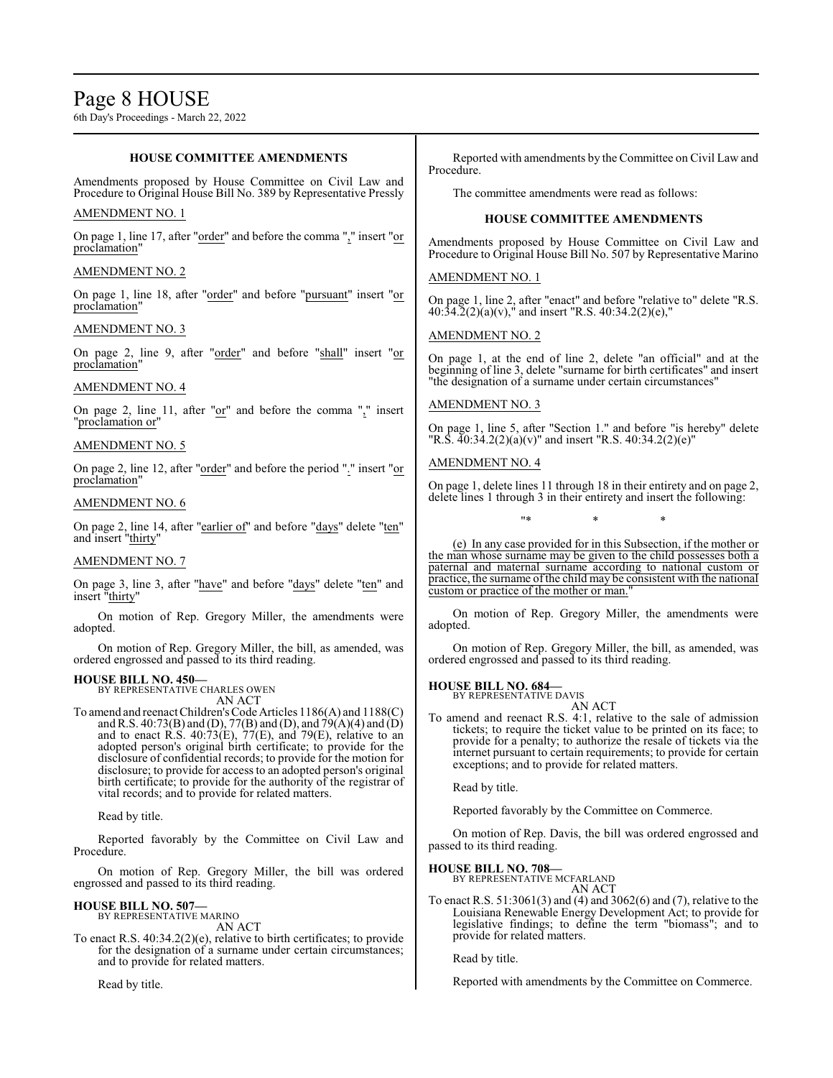#### **HOUSE COMMITTEE AMENDMENTS**

Amendments proposed by House Committee on Civil Law and Procedure to Original House Bill No. 389 by Representative Pressly

#### AMENDMENT NO. 1

On page 1, line 17, after "order" and before the comma "," insert "or proclamation"

#### AMENDMENT NO. 2

On page 1, line 18, after "order" and before "pursuant" insert "or proclamation"

#### AMENDMENT NO. 3

On page 2, line 9, after "order" and before "shall" insert "or proclamation"

#### AMENDMENT NO. 4

On page 2, line 11, after " $or$ " and before the comma "," insert "proclamation or"

#### AMENDMENT NO. 5

On page 2, line 12, after "order" and before the period "." insert "or proclamation"

#### AMENDMENT NO. 6

On page 2, line 14, after "earlier of" and before "days" delete "ten" and insert "thirty"

#### AMENDMENT NO. 7

On page 3, line 3, after "have" and before "days" delete "ten" and insert "thirty"

On motion of Rep. Gregory Miller, the amendments were adopted.

On motion of Rep. Gregory Miller, the bill, as amended, was ordered engrossed and passed to its third reading.

#### **HOUSE BILL NO. 450—**

BY REPRESENTATIVE CHARLES OWEN AN ACT

To amend and reenact Children's Code Articles 1186(A) and 1188(C) and R.S. 40:73(B) and (D), 77(B) and (D), and 79(A)(4) and (D) and to enact R.S.  $40:73(E)$ ,  $77(E)$ , and  $79(E)$ , relative to an adopted person's original birth certificate; to provide for the disclosure of confidential records; to provide for the motion for disclosure; to provide for access to an adopted person's original birth certificate; to provide for the authority of the registrar of vital records; and to provide for related matters.

Read by title.

Reported favorably by the Committee on Civil Law and Procedure.

On motion of Rep. Gregory Miller, the bill was ordered engrossed and passed to its third reading.

#### **HOUSE BILL NO. 507—** BY REPRESENTATIVE MARINO

AN ACT

To enact R.S. 40:34.2(2)(e), relative to birth certificates; to provide for the designation of a surname under certain circumstances; and to provide for related matters.

Read by title.

Reported with amendments by the Committee on Civil Law and Procedure.

The committee amendments were read as follows:

#### **HOUSE COMMITTEE AMENDMENTS**

Amendments proposed by House Committee on Civil Law and Procedure to Original House Bill No. 507 by Representative Marino

#### AMENDMENT NO. 1

On page 1, line 2, after "enact" and before "relative to" delete "R.S.  $40:34.2(2)(a)(v)$ ," and insert "R.S.  $40:34.2(2)(e)$ ,"

### AMENDMENT NO. 2

On page 1, at the end of line 2, delete "an official" and at the beginning of line 3, delete "surname for birth certificates" and insert "the designation of a surname under certain circumstances"

#### AMENDMENT NO. 3

On page 1, line 5, after "Section 1." and before "is hereby" delete "R.S. 40:34.2(2)(a)(v)" and insert "R.S. 40:34.2(2)(e)"

#### AMENDMENT NO. 4

On page 1, delete lines 11 through 18 in their entirety and on page 2, delete lines 1 through 3 in their entirety and insert the following:

"\* \* \*

(e) In any case provided for in this Subsection, if the mother or the man whose surname may be given to the child possesses both a paternal and maternal surname according to national custom or practice, the surname ofthe child may be consistent with the national custom or practice of the mother or man.

On motion of Rep. Gregory Miller, the amendments were adopted.

On motion of Rep. Gregory Miller, the bill, as amended, was ordered engrossed and passed to its third reading.

#### **HOUSE BILL NO. 684—**

BY REPRESENTATIVE DAVIS AN ACT

To amend and reenact R.S. 4:1, relative to the sale of admission tickets; to require the ticket value to be printed on its face; to provide for a penalty; to authorize the resale of tickets via the internet pursuant to certain requirements; to provide for certain exceptions; and to provide for related matters.

Read by title.

Reported favorably by the Committee on Commerce.

On motion of Rep. Davis, the bill was ordered engrossed and passed to its third reading.

# **HOUSE BILL NO. 708—** BY REPRESENTATIVE MCFARLAND

AN ACT

To enact R.S. 51:3061(3) and (4) and 3062(6) and (7), relative to the Louisiana Renewable Energy Development Act; to provide for legislative findings; to define the term "biomass"; and to provide for related matters.

Read by title.

Reported with amendments by the Committee on Commerce.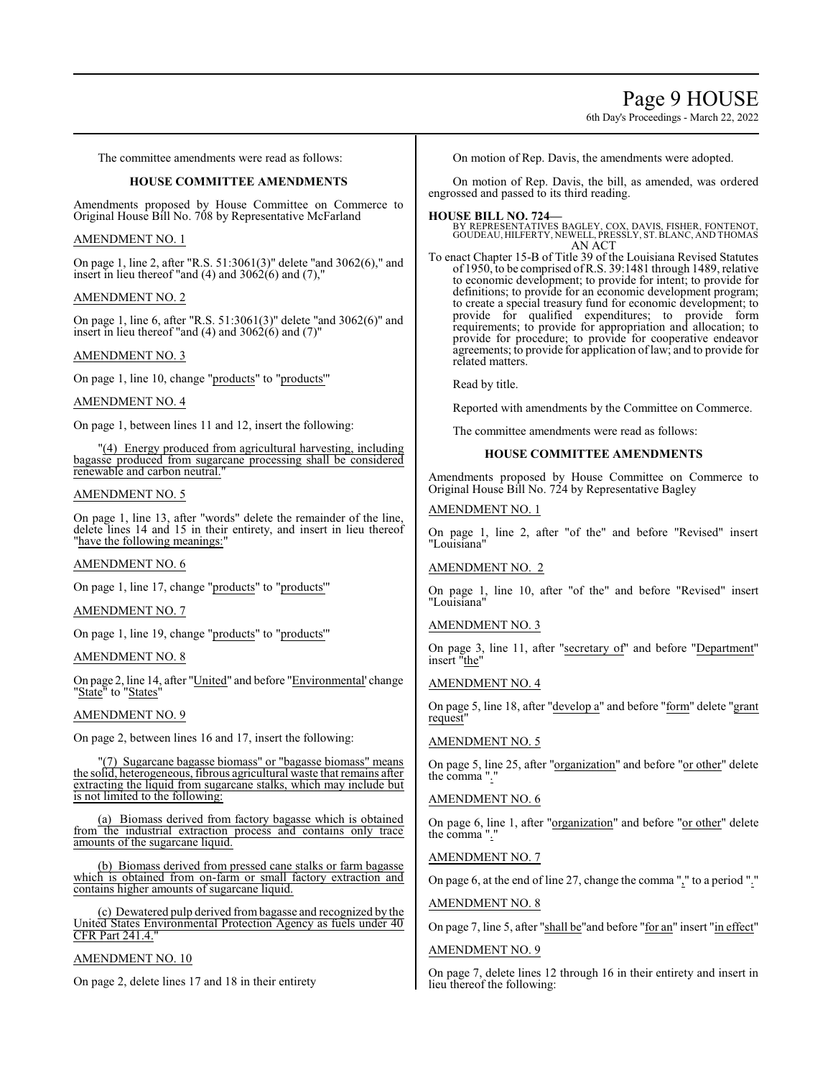# Page 9 HOUSE

6th Day's Proceedings - March 22, 2022

The committee amendments were read as follows:

### **HOUSE COMMITTEE AMENDMENTS**

Amendments proposed by House Committee on Commerce to Original House Bill No. 708 by Representative McFarland

#### AMENDMENT NO. 1

On page 1, line 2, after "R.S. 51:3061(3)" delete "and 3062(6)," and insert in lieu thereof "and  $(4)$  and  $3062(6)$  and  $(7)$ ,"

#### AMENDMENT NO. 2

On page 1, line 6, after "R.S. 51:3061(3)" delete "and 3062(6)" and insert in lieu thereof "and  $(4)$  and  $3062(6)$  and  $(7)$ "

#### AMENDMENT NO. 3

On page 1, line 10, change "products" to "products'"

### AMENDMENT NO. 4

On page 1, between lines 11 and 12, insert the following:

"(4) Energy produced from agricultural harvesting, including bagasse produced from sugarcane processing shall be considered renewable and carbon neutral."

#### AMENDMENT NO. 5

On page 1, line 13, after "words" delete the remainder of the line, delete lines 14 and 15 in their entirety, and insert in lieu thereof "have the following meanings:"

### AMENDMENT NO. 6

On page 1, line 17, change "products" to "products'"

#### AMENDMENT NO. 7

On page 1, line 19, change "products" to "products'"

#### AMENDMENT NO. 8

On page 2, line 14, after "United" and before "Environmental' change "State" to "States"

### AMENDMENT NO. 9

On page 2, between lines 16 and 17, insert the following:

"(7) Sugarcane bagasse biomass" or "bagasse biomass" means the solid, heterogeneous, fibrous agricultural waste that remains after extracting the liquid from sugarcane stalks, which may include but is not limited to the following:

(a) Biomass derived from factory bagasse which is obtained from the industrial extraction process and contains only trace amounts of the sugarcane liquid.

(b) Biomass derived from pressed cane stalks or farm bagasse which is obtained from on-farm or small factory extraction and contains higher amounts of sugarcane liquid.

(c) Dewatered pulp derived frombagasse and recognized by the United States Environmental Protection Agency as fuels under 40 CFR Part 241.4.

#### AMENDMENT NO. 10

On page 2, delete lines 17 and 18 in their entirety

On motion of Rep. Davis, the amendments were adopted.

On motion of Rep. Davis, the bill, as amended, was ordered engrossed and passed to its third reading.

**HOUSE BILL NO. 724—** BY REPRESENTATIVES BAGLEY, COX, DAVIS, FISHER, FONTENOT, GOUDEAU, HILFERTY, NEWELL, PRESSLY, ST. BLANC, AND THOMAS AN ACT

To enact Chapter 15-B of Title 39 of the Louisiana Revised Statutes of 1950, to be comprised ofR.S. 39:1481 through 1489, relative to economic development; to provide for intent; to provide for definitions; to provide for an economic development program; to create a special treasury fund for economic development; to provide for qualified expenditures; to provide form requirements; to provide for appropriation and allocation; to provide for procedure; to provide for cooperative endeavor agreements; to provide for application oflaw; and to provide for related matters.

Read by title.

Reported with amendments by the Committee on Commerce.

The committee amendments were read as follows:

### **HOUSE COMMITTEE AMENDMENTS**

Amendments proposed by House Committee on Commerce to Original House Bill No. 724 by Representative Bagley

#### AMENDMENT NO. 1

On page 1, line 2, after "of the" and before "Revised" insert "Louisiana"

### AMENDMENT NO. 2

On page 1, line 10, after "of the" and before "Revised" insert "Louisiana"

#### AMENDMENT NO. 3

On page 3, line 11, after "secretary of" and before "Department" insert "the"

#### AMENDMENT NO. 4

On page 5, line 18, after "develop a" and before "form" delete "grant request"

# AMENDMENT NO. 5

On page 5, line 25, after "organization" and before "or other" delete the comma ".

### AMENDMENT NO. 6

On page 6, line 1, after "organization" and before "or other" delete the comma ".

#### AMENDMENT NO. 7

On page 6, at the end of line 27, change the comma "," to a period "."

#### AMENDMENT NO. 8

On page 7, line 5, after "shall be"and before "for an" insert "in effect"

#### AMENDMENT NO. 9

On page 7, delete lines 12 through 16 in their entirety and insert in lieu thereof the following: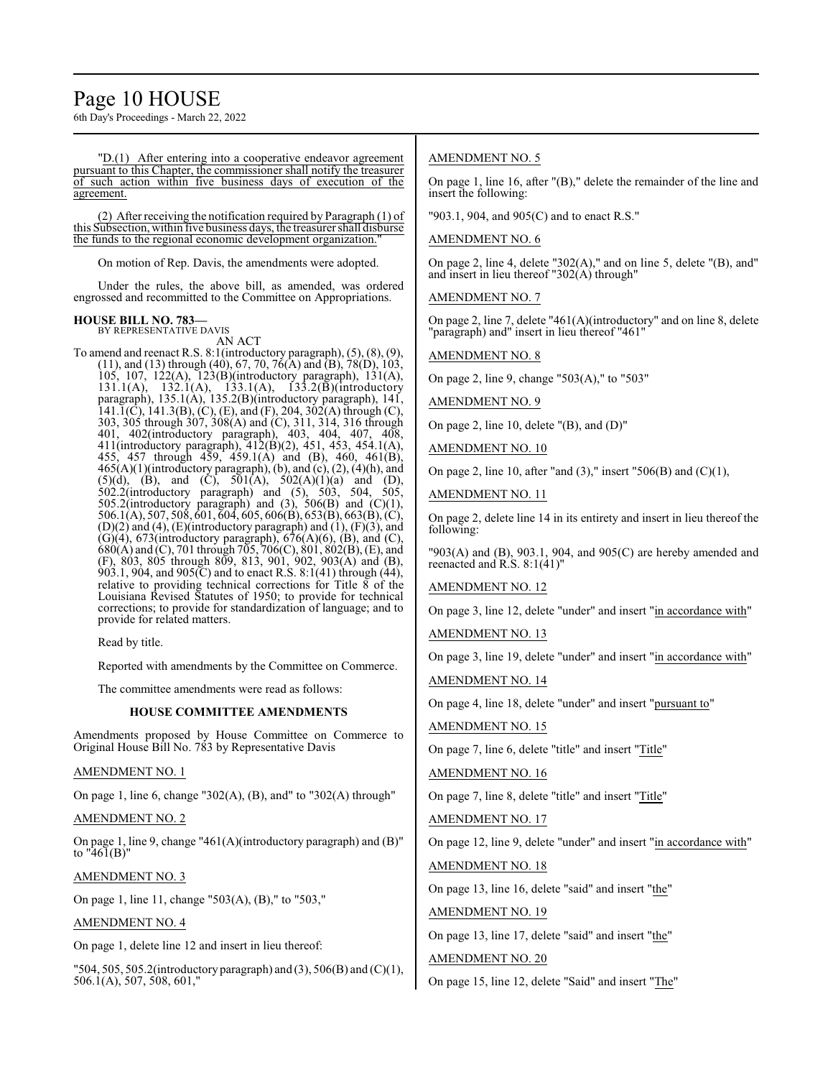# Page 10 HOUSE

6th Day's Proceedings - March 22, 2022

"D.(1) After entering into a cooperative endeavor agreement pursuant to this Chapter, the commissioner shall notify the treasurer of such action within five business days of execution of the agreement.

(2) After receiving the notification required by Paragraph (1) of this Subsection, within five business days, the treasurer shall disburse the funds to the regional economic development organization.

On motion of Rep. Davis, the amendments were adopted.

Under the rules, the above bill, as amended, was ordered engrossed and recommitted to the Committee on Appropriations.

#### **HOUSE BILL NO. 783—** BY REPRESENTATIVE DAVIS

AN ACT

To amend and reenact R.S. 8:1(introductory paragraph), (5), (8), (9),  $(11)$ , and  $(13)$  through  $(40)$ , 67, 70, 76 $(A)$  and  $(B)$ , 78 $(D)$ , 103, 105, 107, 122(A), 123(B)(introductory paragraph), 131(A), 131.1(A), 132.1(A), 133.1(A), 133.2(B)(introductory paragraph), 135.1(A), 135.2(B)(introductory paragraph), 141, 141.1(C), 141.3(B), (C), (E), and (F), 204, 302(A) through (C), 303, 305 through 307, 308(A) and (C), 311, 314, 316 through 401, 402(introductory paragraph), 403, 404, 407, 408, 411(introductory paragraph), 412(B)(2), 451, 453, 454.1(A), 455, 457 through 459, 459.1(A) and (B), 460, 461(B),  $465(A)(1)$ (introductory paragraph), (b), and (c), (2), (4)(h), and  $(5)(d)$ ,  $(B)$ , and  $(C)$ ,  $501(A)$ ,  $502(A)(1)(a)$  and  $(D)$ , 502.2(introductory paragraph) and (5), 503, 504, 505, 505.2(introductory paragraph) and  $(3)$ , 506 $(B)$  and  $(C)(1)$ , 506.1(A), 507, 508, 601, 604, 605, 606(B), 653(B), 663(B), (C),  $(D)(2)$  and  $(4)$ ,  $(E)$ (introductory paragraph) and  $(1)$ ,  $(F)(3)$ , and  $(G)(4)$ , 673(introductory paragraph), 676(A)(6), (B), and (C), 680(A) and (C), 701 through 705, 706(C), 801, 802(B), (E), and (F), 803, 805 through 809, 813, 901, 902, 903(A) and (B), 903.1, 904, and 905 $(C)$  and to enact R.S. 8:1(41) through (44), relative to providing technical corrections for Title 8 of the Louisiana Revised Statutes of 1950; to provide for technical corrections; to provide for standardization of language; and to provide for related matters.

Read by title.

Reported with amendments by the Committee on Commerce.

The committee amendments were read as follows:

#### **HOUSE COMMITTEE AMENDMENTS**

Amendments proposed by House Committee on Commerce to Original House Bill No. 783 by Representative Davis

### AMENDMENT NO. 1

On page 1, line 6, change "302(A), (B), and" to "302(A) through"

#### AMENDMENT NO. 2

On page 1, line 9, change "461(A)(introductory paragraph) and (B)" to " $46I(B)$ "

# AMENDMENT NO. 3

On page 1, line 11, change "503(A), (B)," to "503,"

# AMENDMENT NO. 4

On page 1, delete line 12 and insert in lieu thereof:

"504, 505, 505.2(introductory paragraph) and (3), 506(B) and (C)(1), 506.1(A), 507, 508, 601,"

# AMENDMENT NO. 5

On page 1, line 16, after "(B)," delete the remainder of the line and insert the following:

"903.1, 904, and 905(C) and to enact R.S."

# AMENDMENT NO. 6

On page 2, line 4, delete "302(A)," and on line 5, delete "(B), and" and insert in lieu thereof "302(A) through"

AMENDMENT NO. 7

On page 2, line 7, delete "461(A)(introductory" and on line 8, delete "paragraph) and" insert in lieu thereof "461"

AMENDMENT NO. 8

On page 2, line 9, change "503(A)," to "503"

AMENDMENT NO. 9

On page 2, line 10, delete "(B), and (D)"

AMENDMENT NO. 10

On page 2, line 10, after "and  $(3)$ ," insert "506 $(B)$  and  $(C)(1)$ ,

AMENDMENT NO. 11

On page 2, delete line 14 in its entirety and insert in lieu thereof the following:

"903(A) and (B), 903.1, 904, and 905(C) are hereby amended and reenacted and R.S. 8:1(41)"

AMENDMENT NO. 12

On page 3, line 12, delete "under" and insert "in accordance with"

AMENDMENT NO. 13

On page 3, line 19, delete "under" and insert "in accordance with"

AMENDMENT NO. 14

On page 4, line 18, delete "under" and insert "pursuant to"

# AMENDMENT NO. 15

On page 7, line 6, delete "title" and insert "Title"

AMENDMENT NO. 16

On page 7, line 8, delete "title" and insert "Title"

AMENDMENT NO. 17

On page 12, line 9, delete "under" and insert "in accordance with"

AMENDMENT NO. 18

On page 13, line 16, delete "said" and insert "the"

AMENDMENT NO. 19

On page 13, line 17, delete "said" and insert "the"

AMENDMENT NO. 20

On page 15, line 12, delete "Said" and insert "The"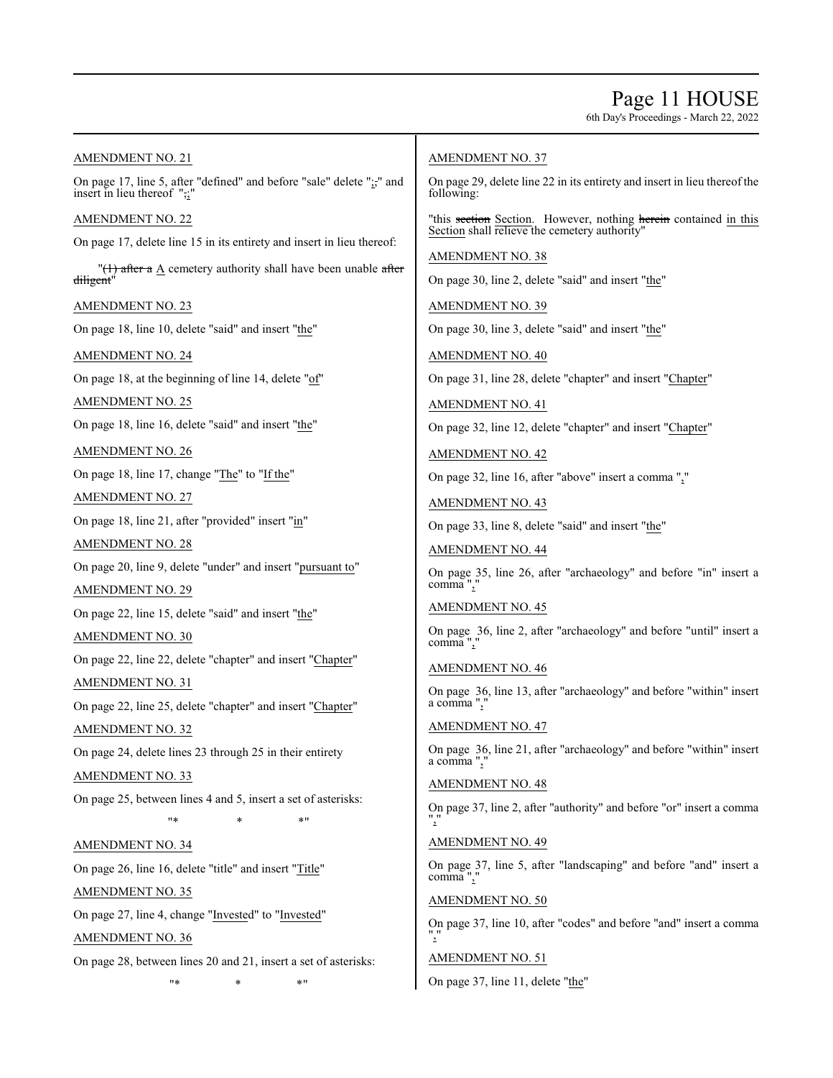# Page 11 HOUSE

6th Day's Proceedings - March 22, 2022

AMENDMENT NO. 21

On page 17, line 5, after "defined" and before "sale" delete ";," and insert in lieu thereof ",;"

AMENDMENT NO. 22

On page 17, delete line 15 in its entirety and insert in lieu thereof:

 $\sqrt{(1)}$  after a A cemetery authority shall have been unable after diligent<sup>'</sup>

AMENDMENT NO. 23

On page 18, line 10, delete "said" and insert "the"

AMENDMENT NO. 24

On page 18, at the beginning of line 14, delete "of"

AMENDMENT NO. 25

On page 18, line 16, delete "said" and insert "the"

AMENDMENT NO. 26

On page 18, line 17, change "The" to "If the"

AMENDMENT NO. 27

On page 18, line 21, after "provided" insert "in"

AMENDMENT NO. 28

On page 20, line 9, delete "under" and insert "pursuant to"

AMENDMENT NO. 29

On page 22, line 15, delete "said" and insert "the"

AMENDMENT NO. 30

On page 22, line 22, delete "chapter" and insert "Chapter" AMENDMENT NO. 31

On page 22, line 25, delete "chapter" and insert "Chapter"

AMENDMENT NO. 32

On page 24, delete lines 23 through 25 in their entirety

AMENDMENT NO. 33

On page 25, between lines 4 and 5, insert a set of asterisks:

"\* \* \*"

AMENDMENT NO. 34

On page 26, line 16, delete "title" and insert "Title" AMENDMENT NO. 35

On page 27, line 4, change "Invested" to "Invested"

AMENDMENT NO. 36

On page 28, between lines 20 and 21, insert a set of asterisks:

"\* \* \*"

# AMENDMENT NO. 37

On page 29, delete line 22 in its entirety and insert in lieu thereof the following:

"this section Section. However, nothing herein contained in this Section shall relieve the cemetery authority"

AMENDMENT NO. 38

On page 30, line 2, delete "said" and insert "the"

AMENDMENT NO. 39

On page 30, line 3, delete "said" and insert "the"

AMENDMENT NO. 40

On page 31, line 28, delete "chapter" and insert "Chapter"

AMENDMENT NO. 41

On page 32, line 12, delete "chapter" and insert "Chapter"

AMENDMENT NO. 42

On page 32, line 16, after "above" insert a comma ","

AMENDMENT NO. 43

On page 33, line 8, delete "said" and insert "the"

AMENDMENT NO. 44

On page 35, line 26, after "archaeology" and before "in" insert a comma",

# AMENDMENT NO. 45

On page 36, line 2, after "archaeology" and before "until" insert a comma",

AMENDMENT NO. 46

On page 36, line 13, after "archaeology" and before "within" insert a comma ",'

AMENDMENT NO. 47

On page 36, line 21, after "archaeology" and before "within" insert a comma ",

# AMENDMENT NO. 48

On page 37, line 2, after "authority" and before "or" insert a comma ","

## AMENDMENT NO. 49

On page 37, line 5, after "landscaping" and before "and" insert a comma",

### AMENDMENT NO. 50

On page 37, line 10, after "codes" and before "and" insert a comma ","

# AMENDMENT NO. 51

On page 37, line 11, delete "the"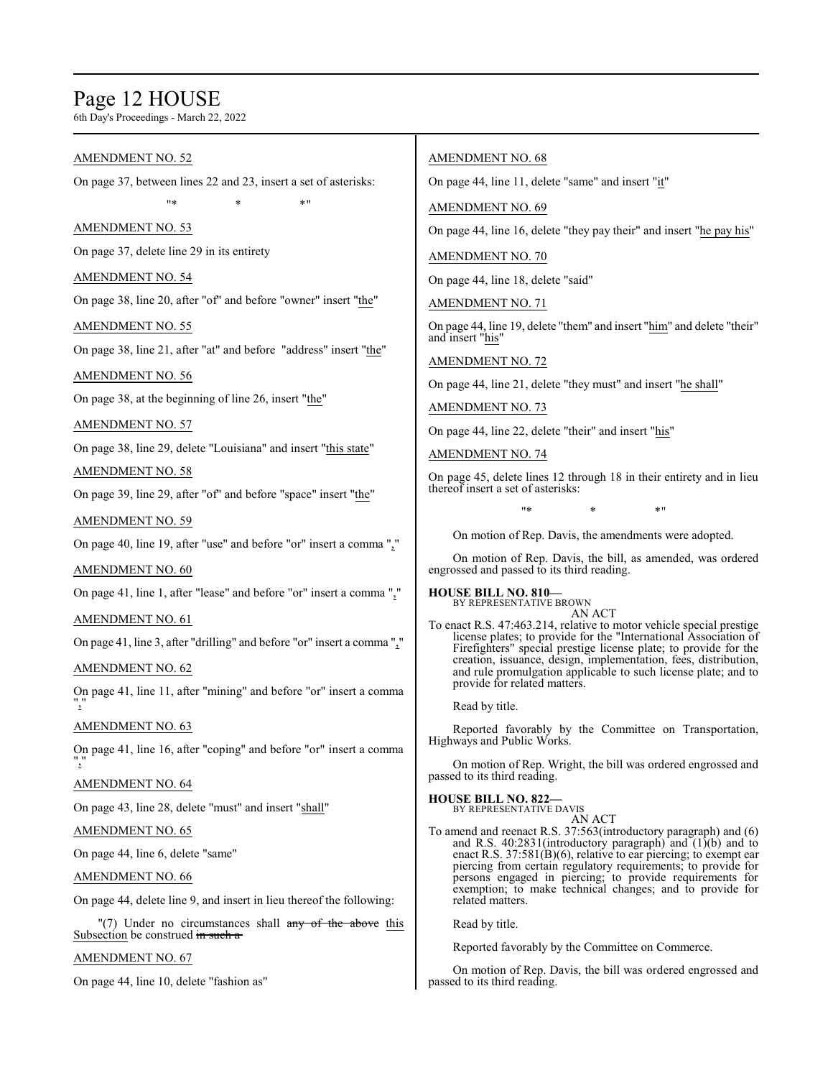# Page 12 HOUSE

6th Day's Proceedings - March 22, 2022

# AMENDMENT NO. 52

On page 37, between lines 22 and 23, insert a set of asterisks: "\* \* \*"

# AMENDMENT NO. 53

On page 37, delete line 29 in its entirety

# AMENDMENT NO. 54

On page 38, line 20, after "of" and before "owner" insert "the"

# AMENDMENT NO. 55

On page 38, line 21, after "at" and before "address" insert "the"

# AMENDMENT NO. 56

On page 38, at the beginning of line 26, insert "the"

# AMENDMENT NO. 57

On page 38, line 29, delete "Louisiana" and insert "this state"

# AMENDMENT NO. 58

On page 39, line 29, after "of" and before "space" insert "the"

# AMENDMENT NO. 59

On page 40, line 19, after "use" and before "or" insert a comma ","

# AMENDMENT NO. 60

On page 41, line 1, after "lease" and before "or" insert a comma ","

# AMENDMENT NO. 61

On page 41, line 3, after "drilling" and before "or" insert a comma ","

# AMENDMENT NO. 62

On page 41, line 11, after "mining" and before "or" insert a comma ","

# AMENDMENT NO. 63

On page 41, line 16, after "coping" and before "or" insert a comma ","

# AMENDMENT NO. 64

On page 43, line 28, delete "must" and insert "shall"

# AMENDMENT NO. 65

On page 44, line 6, delete "same"

# AMENDMENT NO. 66

On page 44, delete line 9, and insert in lieu thereof the following:

"(7) Under no circumstances shall  $\frac{1}{\text{any}}$  of the above this Subsection be construed in such a

# AMENDMENT NO. 67

On page 44, line 10, delete "fashion as"

# AMENDMENT NO. 68

On page 44, line 11, delete "same" and insert "it"

# AMENDMENT NO. 69

On page 44, line 16, delete "they pay their" and insert "he pay his"

# AMENDMENT NO. 70

On page 44, line 18, delete "said"

AMENDMENT NO. 71

On page 44, line 19, delete "them" and insert "him" and delete "their" and insert "his"

AMENDMENT NO. 72

On page 44, line 21, delete "they must" and insert "he shall"

AMENDMENT NO. 73

On page 44, line 22, delete "their" and insert "his"

# AMENDMENT NO. 74

On page 45, delete lines 12 through 18 in their entirety and in lieu thereof insert a set of asterisks:

"\* \* \*"

On motion of Rep. Davis, the amendments were adopted.

On motion of Rep. Davis, the bill, as amended, was ordered engrossed and passed to its third reading.

**HOUSE BILL NO. 810—** BY REPRESENTATIVE BROWN

AN ACT To enact R.S. 47:463.214, relative to motor vehicle special prestige license plates; to provide for the "International Association of Firefighters" special prestige license plate; to provide for the creation, issuance, design, implementation, fees, distribution, and rule promulgation applicable to such license plate; and to provide for related matters.

Read by title.

Reported favorably by the Committee on Transportation, Highways and Public Works.

On motion of Rep. Wright, the bill was ordered engrossed and passed to its third reading.

**HOUSE BILL NO. 822—** BY REPRESENTATIVE DAVIS

- AN ACT
- To amend and reenact R.S. 37:563(introductory paragraph) and (6) and R.S. 40:2831(introductory paragraph) and (1)(b) and to enact R.S. 37:581(B)(6), relative to ear piercing; to exempt ear piercing from certain regulatory requirements; to provide for persons engaged in piercing; to provide requirements for exemption; to make technical changes; and to provide for related matters.

Read by title.

Reported favorably by the Committee on Commerce.

On motion of Rep. Davis, the bill was ordered engrossed and passed to its third reading.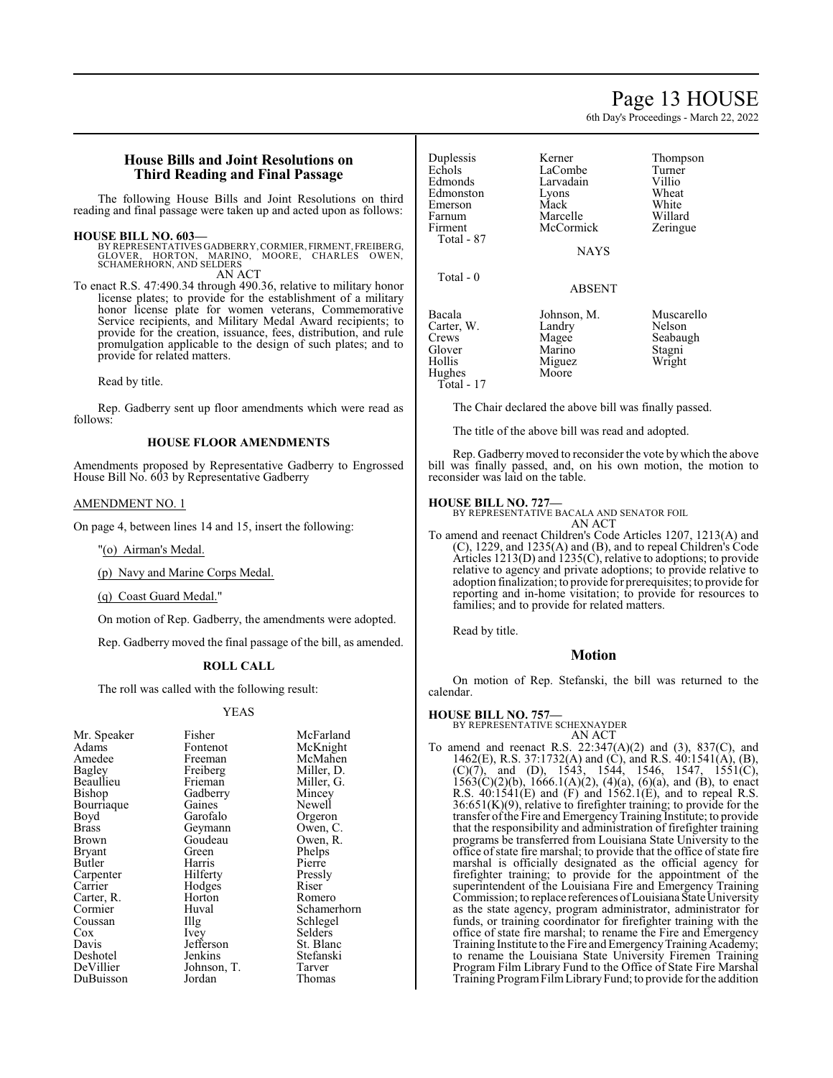# Page 13 HOUSE

6th Day's Proceedings - March 22, 2022

# **House Bills and Joint Resolutions on Third Reading and Final Passage**

The following House Bills and Joint Resolutions on third reading and final passage were taken up and acted upon as follows:

#### **HOUSE BILL NO. 603—**

BY REPRESENTATIVES GADBERRY, CORMIER, FIRMENT, FREIBERG, GLOVER, HORTON, MARINO, MOORE, CHARLES OWEN, SCHAMERHORN, AND SELDERS AN ACT

To enact R.S. 47:490.34 through 490.36, relative to military honor license plates; to provide for the establishment of a military honor license plate for women veterans, Commemorative Service recipients, and Military Medal Award recipients; to provide for the creation, issuance, fees, distribution, and rule promulgation applicable to the design of such plates; and to provide for related matters.

Read by title.

Rep. Gadberry sent up floor amendments which were read as follows:

# **HOUSE FLOOR AMENDMENTS**

Amendments proposed by Representative Gadberry to Engrossed House Bill No. 603 by Representative Gadberry

#### AMENDMENT NO. 1

On page 4, between lines 14 and 15, insert the following:

"(o) Airman's Medal.

(p) Navy and Marine Corps Medal.

(q) Coast Guard Medal."

On motion of Rep. Gadberry, the amendments were adopted.

Rep. Gadberry moved the final passage of the bill, as amended.

#### **ROLL CALL**

The roll was called with the following result:

#### YEAS

| Mr. Speaker   | Fisher      | McFarland   |
|---------------|-------------|-------------|
| Adams         | Fontenot    | McKnight    |
| Amedee        | Freeman     | McMahen     |
| <b>Bagley</b> | Freiberg    | Miller, D.  |
| Beaullieu     | Frieman     | Miller, G.  |
| Bishop        | Gadberry    | Mincey      |
| Bourriaque    | Gaines      | Newell      |
| Boyd          | Garofalo    | Orgeron     |
| Brass         | Geymann     | Owen, C.    |
| Brown         | Goudeau     | Owen, R.    |
| Bryant        | Green       | Phelps      |
| Butler        | Harris      | Pierre      |
| Carpenter     | Hilferty    | Pressly     |
| Carrier       | Hodges      | Riser       |
| Carter, R.    | Horton      | Romero      |
| Cormier       | Huval       | Schamerhorn |
| Coussan       | Illg        | Schlegel    |
| Cox           | <i>lvey</i> | Selders     |
| Davis         | Jefferson   | St. Blanc   |
| Deshotel      | Jenkins     | Stefanski   |
| DeVillier     | Johnson, T. | Tarver      |
| DuBuisson     | Jordan      | Thomas      |

| Duplessis<br>Echols<br>Edmonds<br>Edmonston<br>Emerson<br>Farnum<br>Firment<br>Total - 87 | Kerner<br>LaCombe<br>Larvadain<br>Lyons<br>Mack<br>Marcelle<br>McCormick<br><b>NAYS</b> | Thompson<br>Turner<br>Villio<br>Wheat<br>White<br>Willard<br>Zeringue |
|-------------------------------------------------------------------------------------------|-----------------------------------------------------------------------------------------|-----------------------------------------------------------------------|
| Total - 0                                                                                 | <b>ABSENT</b>                                                                           |                                                                       |
| Bacala<br>Carter, W.<br>Crews<br>Glover<br>Hollis<br>Hughes                               | Johnson, M.<br>Landry<br>Magee<br>Marino<br>Miguez<br>Moore                             | Muscarello<br>Nelson<br>Seabaugh<br>Stagni<br>Wright                  |

The Chair declared the above bill was finally passed.

The title of the above bill was read and adopted.

Rep. Gadberrymoved to reconsider the vote by which the above bill was finally passed, and, on his own motion, the motion to reconsider was laid on the table.

#### **HOUSE BILL NO. 727—**

Total - 17

BY REPRESENTATIVE BACALA AND SENATOR FOIL AN ACT

To amend and reenact Children's Code Articles 1207, 1213(A) and (C), 1229, and 1235(A) and (B), and to repeal Children's Code Articles 1213(D) and 1235(C), relative to adoptions; to provide relative to agency and private adoptions; to provide relative to adoption finalization; to provide for prerequisites; to provide for reporting and in-home visitation; to provide for resources to families; and to provide for related matters.

Read by title.

#### **Motion**

On motion of Rep. Stefanski, the bill was returned to the calendar.

#### **HOUSE BILL NO. 757—**

BY REPRESENTATIVE SCHEXNAYDER AN ACT

To amend and reenact R.S. 22:347(A)(2) and (3), 837(C), and 1462(E), R.S. 37:1732(A) and (C), and R.S. 40:1541(A), (B),  $(C)(7)$ , and  $(D)$ , 1543, 1544, 1546, 1547, 1551 $(C)$ ,  $1563(C)(2)(b)$ ,  $1666.1(A)(2)$ ,  $(4)(a)$ ,  $(6)(a)$ , and  $(B)$ , to enact R.S. 40:1541(E) and (F) and 1562.1(E), and to repeal R.S.  $36:651(K)(9)$ , relative to firefighter training; to provide for the transfer of the Fire and Emergency Training Institute; to provide that the responsibility and administration of firefighter training programs be transferred from Louisiana State University to the office ofstate fire marshal; to provide that the office ofstate fire marshal is officially designated as the official agency for firefighter training; to provide for the appointment of the superintendent of the Louisiana Fire and Emergency Training Commission; to replace references of Louisiana State University as the state agency, program administrator, administrator for funds, or training coordinator for firefighter training with the office of state fire marshal; to rename the Fire and Emergency Training Institute to the Fire and Emergency Training Academy; to rename the Louisiana State University Firemen Training Program Film Library Fund to the Office of State Fire Marshal Training ProgramFilmLibraryFund; to provide for the addition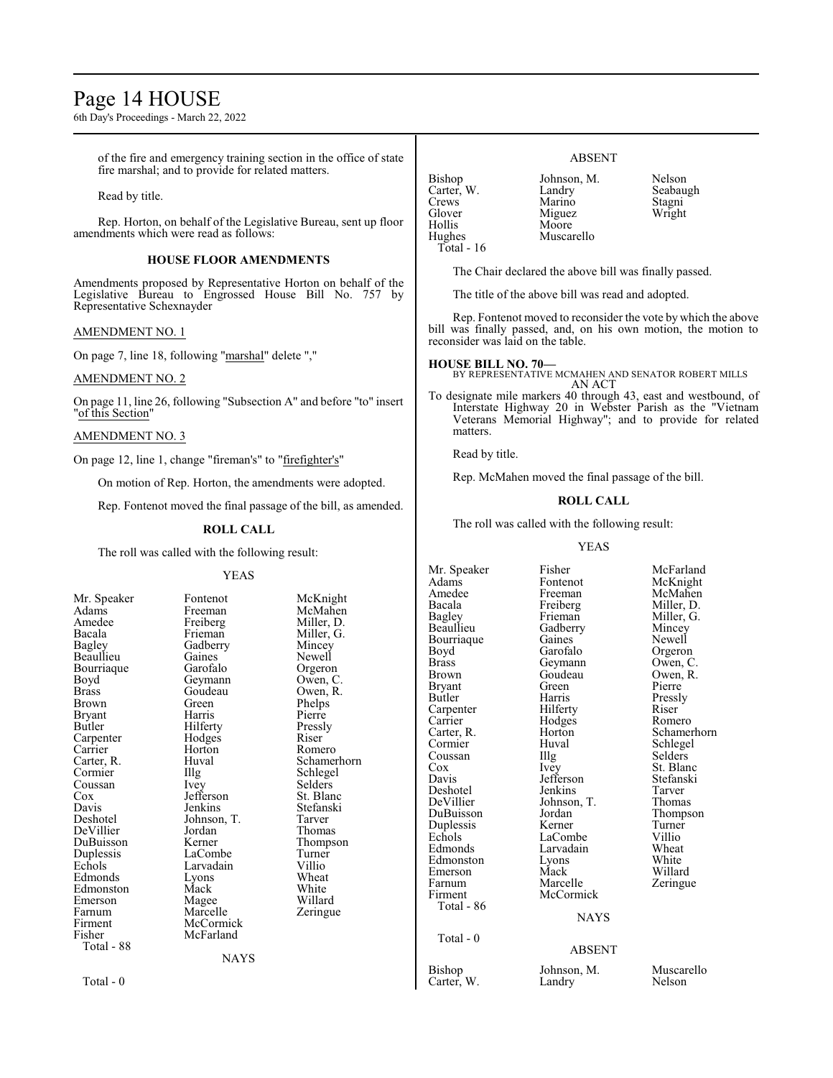# Page 14 HOUSE

6th Day's Proceedings - March 22, 2022

of the fire and emergency training section in the office of state fire marshal; and to provide for related matters.

Read by title.

Rep. Horton, on behalf of the Legislative Bureau, sent up floor amendments which were read as follows:

#### **HOUSE FLOOR AMENDMENTS**

Amendments proposed by Representative Horton on behalf of the Legislative Bureau to Engrossed House Bill No. 757 by Representative Schexnayder

#### AMENDMENT NO. 1

On page 7, line 18, following "marshal" delete ","

# AMENDMENT NO. 2

On page 11, line 26, following "Subsection A" and before "to" insert "of this Section"

#### AMENDMENT NO. 3

On page 12, line 1, change "fireman's" to "firefighter's"

On motion of Rep. Horton, the amendments were adopted.

Rep. Fontenot moved the final passage of the bill, as amended.

#### **ROLL CALL**

The roll was called with the following result:

NAYS

#### YEAS

| Mr. Speaker  | Fontenot    | McKni         |
|--------------|-------------|---------------|
| Adams        | Freeman     | McMał         |
| Amedee       | Freiberg    | Miller,       |
| Bacala       | Frieman     | Miller,       |
| Bagley       | Gadberry    | Mincey        |
| Beaullieu    | Gaines      | Newell        |
| Bourriaque   | Garofalo    | Orgero        |
| Boyd         | Geymann     | Owen,         |
| <b>Brass</b> | Goudeau     | Owen,         |
| Brown        | Green       | Phelps        |
| Bryant       | Harris      | Pierre        |
| Butler       | Hilferty    | Pressly       |
| Carpenter    | Hodges      | Riser         |
| Carrier      | Horton      | Romero        |
| Carter, R.   | Huval       | Schame        |
| Cormier      | Illg        | Schlege       |
| Coussan      | Ivey        | Selders       |
| Cox          | Jefferson   | St. Blar      |
| Davis        | Jenkins     | Stefans       |
| Deshotel     | Johnson, T. | Tarver        |
| DeVillier    | Jordan      | Thoma:        |
| DuBuisson    | Kerner      | <b>Thomp:</b> |
| Duplessis    | LaCombe     | Turner        |
| Echols       | Larvadain   | Villio        |
| Edmonds      | Lyons       | Wheat         |
| Edmonston    | Mack        | White         |
| Emerson      | Magee       | Willard       |
| Farnum       | Marcelle    | Zeringt       |
| Firment      | McCormick   |               |
| Fisher       | McFarland   |               |
| Total - 88   |             |               |
|              | NAYS        |               |

Fontenot McKnight<br>Freeman McMahen Freeman McMahen<br>Freiberg Miller, D. Freiberg Miller, D.<br>Frieman Miller, G. Miller, G.<br>Mincey Newell<br>Orgeron Garofalo Orgeron<br>Gevmann Owen, C Goudeau Owen, R.<br>Green Phelps Phelps<br>Pierre Harris Pierre<br>Hilferty Pressly Hilferty<br>Hodges Riser Hodges Riser<br>
Horton Romero Huval Schamerhorn<br>Illg Schlegel The Schlegel<br>
Schlegel<br>
Selders Jefferson St. Blanc<br>Jenkins Stefanski Stefanski<br>Tarver **Devillerian School School School School School School School School School School School School School School** S<br> **Development** Thomas Thompson<br>Turner LaCombe Turner<br>Larvadain Villio Larvadain Villio<br>
Lyons Wheat Mack White<br>Magee Willar Magee Willard<br>
Marcelle Zeringu Zeringue

Total - 0

### ABSENT

Bishop Johnson, M. Nelson<br>Carter, W. Landry Seabaugh Carter, W. Landry Seabau<br>Crews Marino Stagni Crews Marino Stagni<br>
Glover Miguez Wright Glover Miguez<br>
Hollis Moore Hollis Moore<br>Hughes Muscar Muscarello Total - 16

The Chair declared the above bill was finally passed.

The title of the above bill was read and adopted.

Rep. Fontenot moved to reconsider the vote by which the above bill was finally passed, and, on his own motion, the motion to reconsider was laid on the table.

**HOUSE BILL NO. 70—** BY REPRESENTATIVE MCMAHEN AND SENATOR ROBERT MILLS AN ACT

To designate mile markers 40 through 43, east and westbound, of Interstate Highway 20 in Webster Parish as the "Vietnam Veterans Memorial Highway"; and to provide for related matters.

Read by title.

Rep. McMahen moved the final passage of the bill.

# **ROLL CALL**

The roll was called with the following result:

#### YEAS

Adams Fontenot McKnight<br>Amedee Freeman McMahen Amedee Freeman McMahen<br>Bacala Freiberg Miller D Bacala Freiberg<br>Bagley Frieman Bagley Frieman Miller, G.<br>Beaullieu Gadberry Mincey Bourriaque Gaines<br>Bovd Garofalo Boyd Garofalo Orgeron<br>Brass Geymann Owen, C. Brass Geymann<br>Brown Goudeau Bryant Green<br>Butler Harris Carpenter Hilferty<br>Carrier Hodges Carrier Hodges Romero<br>Carter, R. Horton Schamer Cormier Huval Schlegel<br>
Coussan IIIg Selders Coussan Illg Selders<br>
Cox Ivey St. Blar Cox Ivey St. Blanc<br>
Davis Jefferson Stefanski Deshotel Jenkins Tarver<br>
DeVillier Johnson T. Thomas DeVillier Johnson, T.<br>DuBuisson Jordan Duplessis Kerner Turner Echols LaCombe Villio<br>Edmonds Larvadain Wheat Edmonston Lyons White<br>Emerson Mack Willard Emerson Mack<br>Farnum Marcelle Farnum Marcelle Zeringue<br>Firment McCormick Total - 86 Total - 0 Carter, W.

Mr. Speaker Fisher McFarland<br>Adams Fontenot McKnight Gadberry Mincey<br>Gaines Newell Goudeau Owen, R.<br>Green Pierre Harris Pressly<br>Hilferty Riser Carter, R. Horton Schamerhorn Jefferson Stefans<br>Jenkins Tarver Jordan Thompson<br>Kerner Turner Larvadain Wheat<br>Lyons White

# **NAYS**

**McCormick** 

#### ABSENT

Bishop Johnson, M. Muscarello<br>Carter, W. Landry Nelson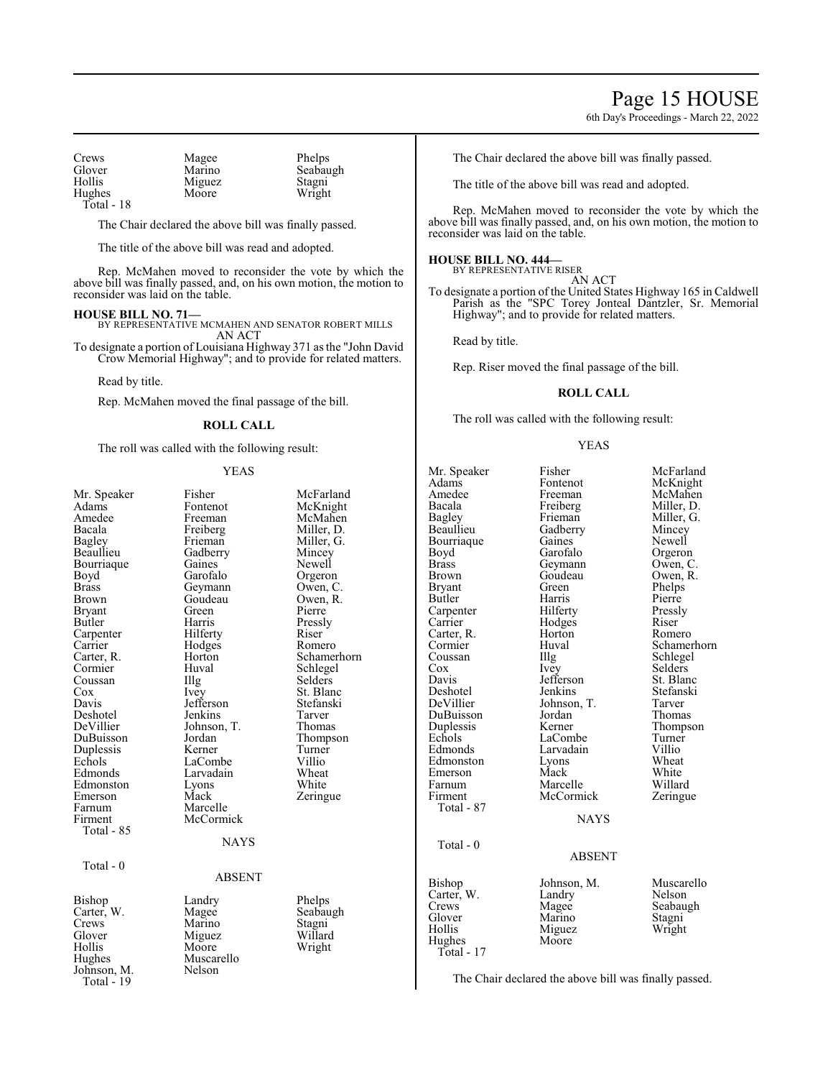# Page 15 HOUSE

6th Day's Proceedings - March 22, 2022

| Crews      | Magee  | Phelps   |
|------------|--------|----------|
| Glover     | Marino | Seabaugh |
| Hollis     | Miguez | Stagni   |
| Hughes     | Moore  | Wright   |
| Total - 18 |        |          |

The Chair declared the above bill was finally passed.

The title of the above bill was read and adopted.

Rep. McMahen moved to reconsider the vote by which the above bill was finally passed, and, on his own motion, the motion to reconsider was laid on the table.

**HOUSE BILL NO. 71—** BY REPRESENTATIVE MCMAHEN AND SENATOR ROBERT MILLS AN ACT

To designate a portion of Louisiana Highway 371 as the "John David Crow Memorial Highway"; and to provide for related matters.

Read by title.

Rep. McMahen moved the final passage of the bill.

### **ROLL CALL**

The roll was called with the following result:

#### YEAS

| Mr. Speaker<br>Adams<br>Amedee<br>Bacala<br>Bagley<br>Beaullieu<br>Bourriaque<br>Boyd<br>Brass<br>Brown<br>Bryant<br>Butler<br>Carpenter<br>Carrier<br>Carter, R.<br>Cormier<br>Coussan<br>$\cos$<br>Davis<br>Deshotel<br>DeVillier<br>DuBuisson<br>Duplessis | Fisher<br>Fontenot<br>Freeman<br>Freiberg<br>Frieman<br>Gadberry<br>Gaines<br>Garofalo<br>Geymann<br>Goudeau<br>Green<br>Harris<br>Hilferty<br>Hodges<br>Horton<br>Huval<br>Illg<br>Ivey<br>Jefferson<br>Jenkins<br>Johnson, T.<br>Jordan<br>Kerner | McFarland<br>McKnight<br>McMahen<br>Miller, D.<br>Miller, G.<br>Mincey<br>Newell<br>Orgeron<br>Owen, C.<br>Owen, R.<br>Pierre<br>Pressly<br>Riser<br>Romero<br>Schamerhorn<br>Schlegel<br>Selders<br>St. Blanc<br>Stefanski<br>Tarver<br>Thomas<br>Thompson<br>Turner |
|---------------------------------------------------------------------------------------------------------------------------------------------------------------------------------------------------------------------------------------------------------------|-----------------------------------------------------------------------------------------------------------------------------------------------------------------------------------------------------------------------------------------------------|-----------------------------------------------------------------------------------------------------------------------------------------------------------------------------------------------------------------------------------------------------------------------|
| Echols<br>Edmonds<br>Edmonston<br>Emerson<br>Farnum<br>Firment<br>Total - 85                                                                                                                                                                                  | LaCombe<br>Larvadain<br>Lyons<br>Mack<br>Marcelle<br>McCormick<br><b>NAYS</b>                                                                                                                                                                       | Villio<br>Wheat<br>White<br>Zeringue                                                                                                                                                                                                                                  |
|                                                                                                                                                                                                                                                               |                                                                                                                                                                                                                                                     |                                                                                                                                                                                                                                                                       |
| Total - $0$                                                                                                                                                                                                                                                   | <b>ABSENT</b>                                                                                                                                                                                                                                       |                                                                                                                                                                                                                                                                       |
| Bishop<br>Carter, W.<br>Crews<br>Glover<br>Hollis<br>Hughes<br>Johnson, M.<br>Total - 19                                                                                                                                                                      | Landry<br>Magee<br>Marino<br>Miguez<br>Moore<br>Muscarello<br>Nelson                                                                                                                                                                                | Phelps<br>Seabaugh<br>Stagni<br>Willard<br>Wright                                                                                                                                                                                                                     |

The Chair declared the above bill was finally passed.

The title of the above bill was read and adopted.

Rep. McMahen moved to reconsider the vote by which the above bill was finally passed, and, on his own motion, the motion to reconsider was laid on the table.

#### **HOUSE BILL NO. 444—**

BY REPRESENTATIVE RISER AN ACT

To designate a portion of the United States Highway 165 in Caldwell Parish as the "SPC Torey Jonteal Dantzler, Sr. Memorial Highway"; and to provide for related matters.

Read by title.

Rep. Riser moved the final passage of the bill.

#### **ROLL CALL**

The roll was called with the following result:

#### YEAS

Mr. Speaker Fisher McFarland<br>Adams Fontenot McKnight Adams Fontenot McKnight<br>
Amedee Freeman McMahen Amedee Freeman McMahen<br>Bacala Freiberg Miller, D. Bacala Freiberg Miller, D.<br>Bagley Frieman Miller, G. Bagley Frieman Miller, G.<br>Beaullieu Gadberry Mincey Bourriaque Gaines<br>Boyd Garofalo Boyd Garofalo Orgeron<br>Brass Geymann Owen, C. Brass Geymann<br>Brown Goudeau Brown Goudeau Owen, R.<br>Bryant Green Phelps Butler Harris Pierre<br>
Pierre Hilferty Pressly Carpenter Hilferty Pressl<br>Carrier Hodges Riser Carter, R. Horton Romer<br>
Huval Cormier Huval Schamerhorn<br>
Coussan Illg Schlegel Coussan Illg Schlegel<br>
Cox Ivey Selders Cox Ivey Selders<br>Davis Jefferson St. Blanc Deshotel Jenkins Stefanski<br>DeVillier Johnson, T. Tarver DuBuisson Jordan Thomas<br>
Duplessis Kerner Thompson Duplessis Kerner Thomp<br>Echols LaCombe Turner Echols LaCombe Turner<br>Edmonds Larvadain Villio Edmonston Lyons Wheat<br>Emerson Mack White Emerson Mack White<br>
Farnum Marcelle Willard Farnum Marcelle Willard<br>Firment McCormick Zeringue Total - 87 Total - 0 Carter, V Glover Hollis Hughes

Total -

Gadberry Mincey<br>Gaines Newell Green Phelps<br>Harris Pierre Hodges Riser<br>Horton Romero Jefferson<br>Jenkins Johnson, T. Tarver<br>Jordan Thomas Larvadain Villio<br>
Lyons Wheat McCormick **NAYS** 

| <b>Bishop</b> | Johnson, M. | Muscarello       |
|---------------|-------------|------------------|
| Carter, W.    | Landry      | Nelson           |
| Crews         | Magee       | Seabaugh         |
| Glover        | Marino      |                  |
| Hollis        | Miguez      | Stagni<br>Wright |
| Hughes        | Moore       |                  |
| Total - 17    |             |                  |

ABSENT

The Chair declared the above bill was finally passed.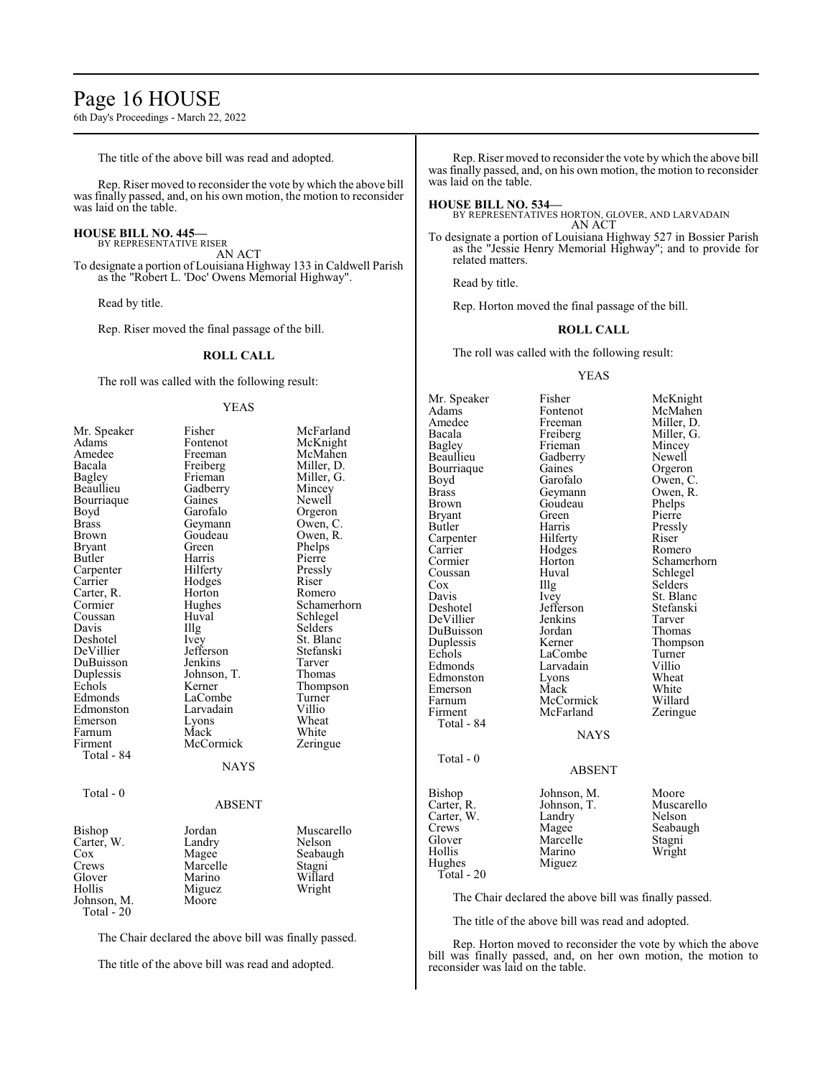# Page 16 HOUSE

6th Day's Proceedings - March 22, 2022

The title of the above bill was read and adopted.

Rep. Riser moved to reconsider the vote by which the above bill was finally passed, and, on his own motion, the motion to reconsider was laid on the table.

# **HOUSE BILL NO. 445—**

BY REPRESENTATIVE RISER AN ACT

To designate a portion of Louisiana Highway 133 in Caldwell Parish as the "Robert L. 'Doc' Owens Memorial Highway".

Read by title.

Rep. Riser moved the final passage of the bill.

#### **ROLL CALL**

The roll was called with the following result:

#### YEAS

| Mr. Speaker   | Fisher        | McFarland   |
|---------------|---------------|-------------|
| Adams         | Fontenot      | McKnight    |
| Amedee        | Freeman       | McMahen     |
| Bacala        | Freiberg      | Miller, D.  |
| <b>Bagley</b> | Frieman       | Miller, G.  |
| Beaullieu     | Gadberry      | Mincey      |
| Bourriaque    | Gaines        | Newell      |
| Boyd          | Garofalo      | Orgeron     |
| <b>Brass</b>  | Geymann       | Owen, C.    |
| <b>Brown</b>  | Goudeau       | Owen, R.    |
| <b>Bryant</b> | Green         | Phelps      |
| Butler        | Harris        | Pierre      |
| Carpenter     | Hilferty      | Pressly     |
| Carrier       | Hodges        | Riser       |
| Carter, R.    | Horton        | Romero      |
| Cormier       | Hughes        | Schamerhorn |
| Coussan       | Huval         | Schlegel    |
| Davis         | Illg          | Selders     |
| Deshotel      | Ivey          | St. Blanc   |
| DeVillier     | Jefferson     | Stefanski   |
| DuBuisson     | Jenkins       | Tarver      |
| Duplessis     | Johnson, T.   | Thomas      |
| Echols        | Kerner        | Thompson    |
| Edmonds       | LaCombe       | Turner      |
| Edmonston     | Larvadain     | Villio      |
| Emerson       | Lyons         | Wheat       |
| Farnum        | Mack          | White       |
| Firment       | McCormick     | Zeringue    |
| Total - 84    |               |             |
|               | <b>NAYS</b>   |             |
|               |               |             |
| Total - 0     |               |             |
|               | <b>ABSENT</b> |             |
|               |               |             |
| Bishop        | Jordan        | Muscarello  |
| Carter, W.    | Landry        | Nelson      |
| $\cos$        | Magee         | Seabaugh    |
| Crews         | Marcelle      | Stagni      |
| Glover        | Marino        | Willard     |
| Hollis        | Miguez        | Wright      |
| Johnson, M.   | Moore         |             |
| Total - 20    |               |             |
|               |               |             |

The Chair declared the above bill was finally passed.

The title of the above bill was read and adopted.

Rep. Riser moved to reconsider the vote by which the above bill was finally passed, and, on his own motion, the motion to reconsider was laid on the table.

#### **HOUSE BILL NO. 534—**

BY REPRESENTATIVES HORTON, GLOVER, AND LARVADAIN AN ACT

To designate a portion of Louisiana Highway 527 in Bossier Parish as the "Jessie Henry Memorial Highway"; and to provide for related matters.

Read by title.

Rep. Horton moved the final passage of the bill.

#### **ROLL CALL**

The roll was called with the following result:

#### YEAS

| Mr. Speaker  | Fisher        | McKnight    |
|--------------|---------------|-------------|
| Adams        | Fontenot      | McMahen     |
| Amedee       | Freeman       | Miller, D.  |
| Bacala       | Freiberg      | Miller, G.  |
| Bagley       | Frieman       | Mincey      |
| Beaullieu    | Gadberry      | Newell      |
| Bourriaque   | Gaines        | Orgeron     |
| Boyd         | Garofalo      | Owen, C.    |
| <b>Brass</b> | Geymann       | Owen, R.    |
| Brown        | Goudeau       | Phelps      |
| Bryant       | Green         | Pierre      |
| Butler       | Harris        | Pressly     |
| Carpenter    | Hilferty      | Riser       |
| Carrier      | Hodges        | Romero      |
| Cormier      | Horton        | Schamerhorn |
| Coussan      | Huval         | Schlegel    |
| Cox          | Illg          | Selders     |
| Davis        | Ivey          | St. Blanc   |
| Deshotel     | Jefferson     | Stefanski   |
| DeVillier    | Jenkins       | Tarver      |
| DuBuisson    | Jordan        | Thomas      |
| Duplessis    | Kerner        | Thompson    |
| Echols       | LaCombe       | Turner      |
| Edmonds      | Larvadain     | Villio      |
| Edmonston    | Lyons         | Wheat       |
| Emerson      | Mack          | White       |
| Farnum       | McCormick     | Willard     |
| Firment      | McFarland     | Zeringue    |
| Total - 84   |               |             |
|              | <b>NAYS</b>   |             |
| Total - $0$  |               |             |
|              | <b>ABSENT</b> |             |
| Bishop       | Johnson, M.   | Moore       |
| Carter, R.   | Johnson, T.   | Muscarello  |
| Carter, W.   | Landry        | Nelson      |
| Crews        | Magee         | Seabaugh    |
| Glover       | Marcelle      | Stagni      |
| Hollis       | Marino        | Wright      |
| Hughes       | Miguez        |             |
| Total - 20   |               |             |

#### ABSENT

The Chair declared the above bill was finally passed.

The title of the above bill was read and adopted.

Rep. Horton moved to reconsider the vote by which the above bill was finally passed, and, on her own motion, the motion to reconsider was laid on the table.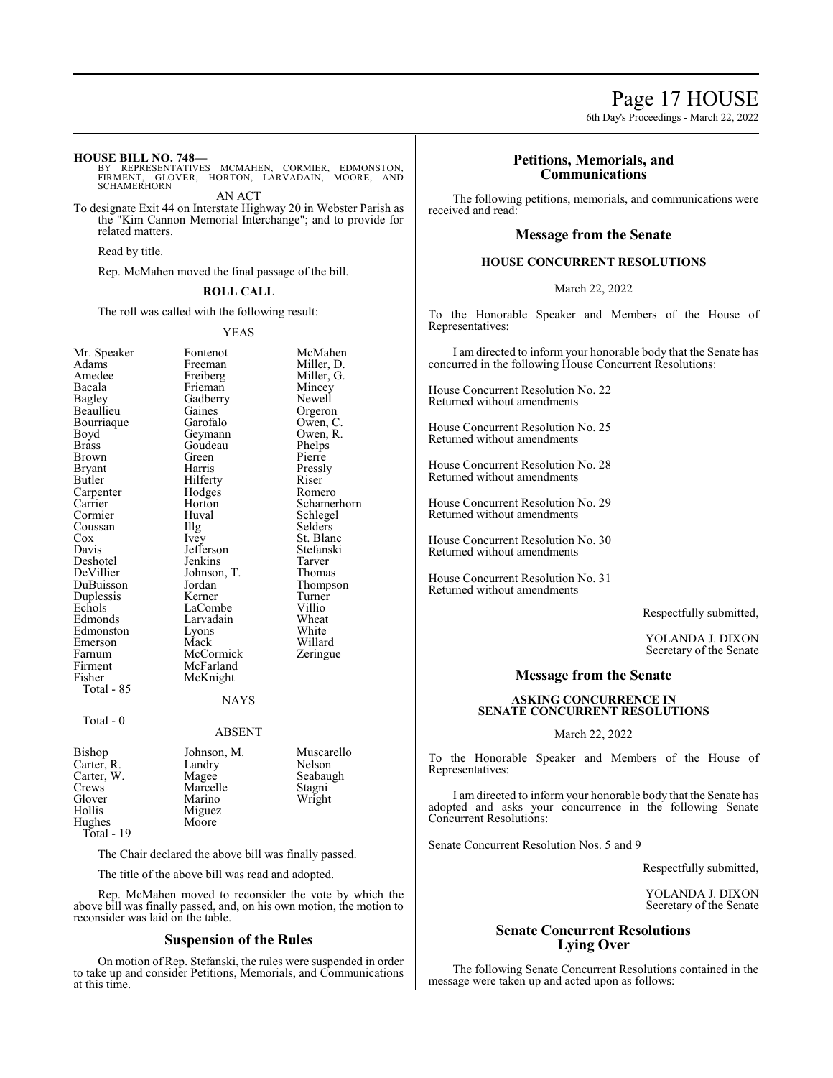# Page 17 HOUSE

6th Day's Proceedings - March 22, 2022

#### **HOUSE BILL NO. 748—**

BY REPRESENTATIVES MCMAHEN, CORMIER, EDMONSTON,<br>FIRMENT, GLOVER, HORTON, LARVADAIN, MOORE, AND<br>SCHAMERHORN

AN ACT

To designate Exit 44 on Interstate Highway 20 in Webster Parish as the "Kim Cannon Memorial Interchange"; and to provide for related matters.

Read by title.

Rep. McMahen moved the final passage of the bill.

# **ROLL CALL**

The roll was called with the following result:

#### YEAS

| Mr. Speaker  | Fontenot      | McMahen     |
|--------------|---------------|-------------|
| Adams        | Freeman       | Miller, D.  |
| Amedee       | Freiberg      | Miller, G.  |
| Bacala       | Frieman       | Mincey      |
| Bagley       | Gadberry      | Newell      |
| Beaullieu    | Gaines        | Orgeron     |
| Bourriaque   | Garofalo      | Owen, C.    |
| Boyd         | Geymann       | Owen, R.    |
| <b>Brass</b> | Goudeau       | Phelps      |
| Brown        | Green         | Pierre      |
| Bryant       | Harris        | Pressly     |
| Butler       | Hilferty      | Riser       |
| Carpenter    | Hodges        | Romero      |
| Carrier      | Horton        | Schamerhorn |
| Cormier      | Huval         | Schlegel    |
| Coussan      | Illg          | Selders     |
| $\cos$       | <i>lvey</i>   | St. Blanc   |
| Davis        | Jefferson     | Stefanski   |
| Deshotel     | Jenkins       | Tarver      |
| DeVillier    | Johnson, T.   | Thomas      |
| DuBuisson    | Jordan        | Thompson    |
| Duplessis    | Kerner        | Turner      |
| Echols       | LaCombe       | Villio      |
| Edmonds      | Larvadain     | Wheat       |
| Edmonston    | Lyons         | White       |
| Emerson      | Mack          | Willard     |
| Farnum       | McCormick     | Zeringue    |
| Firment      | McFarland     |             |
| Fisher       | McKnight      |             |
| Total - 85   |               |             |
|              | NAYS          |             |
| Total - 0    | <b>ABSENT</b> |             |
|              |               |             |
| Bishop       | Johnson, M.   | Muscarello  |
| Carter, R.   | Landry        | Nelson      |
| Carter, W.   | Magee         | Seabaugh    |
| Crews        | Marcelle      | Stagni      |
| Glover       | Marino        | Wright      |
| Hollis       | Miguez        |             |
| Hughes       | Moore         |             |
| Total - 19   |               |             |
|              |               |             |

The Chair declared the above bill was finally passed.

The title of the above bill was read and adopted.

Rep. McMahen moved to reconsider the vote by which the above bill was finally passed, and, on his own motion, the motion to reconsider was laid on the table.

#### **Suspension of the Rules**

On motion of Rep. Stefanski, the rules were suspended in order to take up and consider Petitions, Memorials, and Communications at this time.

# **Petitions, Memorials, and Communications**

The following petitions, memorials, and communications were received and read:

### **Message from the Senate**

### **HOUSE CONCURRENT RESOLUTIONS**

March 22, 2022

To the Honorable Speaker and Members of the House of Representatives:

I am directed to inform your honorable body that the Senate has concurred in the following House Concurrent Resolutions:

House Concurrent Resolution No. 22 Returned without amendments

House Concurrent Resolution No. 25 Returned without amendments

House Concurrent Resolution No. 28 Returned without amendments

House Concurrent Resolution No. 29 Returned without amendments

House Concurrent Resolution No. 30 Returned without amendments

House Concurrent Resolution No. 31 Returned without amendments

Respectfully submitted,

YOLANDA J. DIXON Secretary of the Senate

#### **Message from the Senate**

# **ASKING CONCURRENCE IN SENATE CONCURRENT RESOLUTIONS**

March 22, 2022

To the Honorable Speaker and Members of the House of Representatives:

I am directed to inform your honorable body that the Senate has adopted and asks your concurrence in the following Senate Concurrent Resolutions:

Senate Concurrent Resolution Nos. 5 and 9

Respectfully submitted,

YOLANDA J. DIXON Secretary of the Senate

# **Senate Concurrent Resolutions Lying Over**

The following Senate Concurrent Resolutions contained in the message were taken up and acted upon as follows: